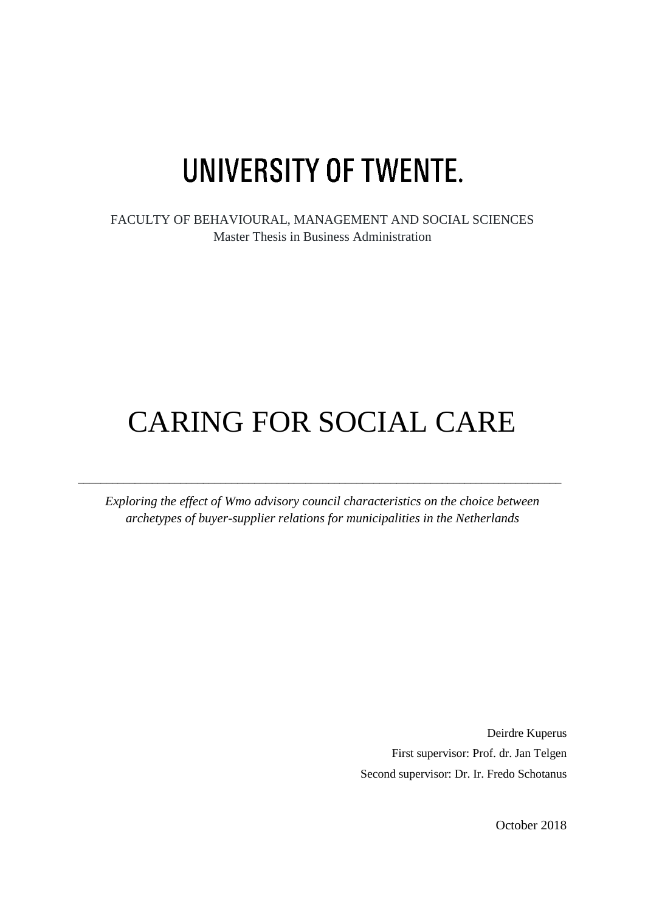# UNIVERSITY OF TWENTE.

FACULTY OF BEHAVIOURAL, MANAGEMENT AND SOCIAL SCIENCES Master Thesis in Business Administration

# CARING FOR SOCIAL CARE

*Exploring the effect of Wmo advisory council characteristics on the choice between archetypes of buyer-supplier relations for municipalities in the Netherlands*

 $\_$  , and the set of the set of the set of the set of the set of the set of the set of the set of the set of the set of the set of the set of the set of the set of the set of the set of the set of the set of the set of th

Deirdre Kuperus First supervisor: Prof. dr. Jan Telgen Second supervisor: Dr. Ir. Fredo Schotanus

October 2018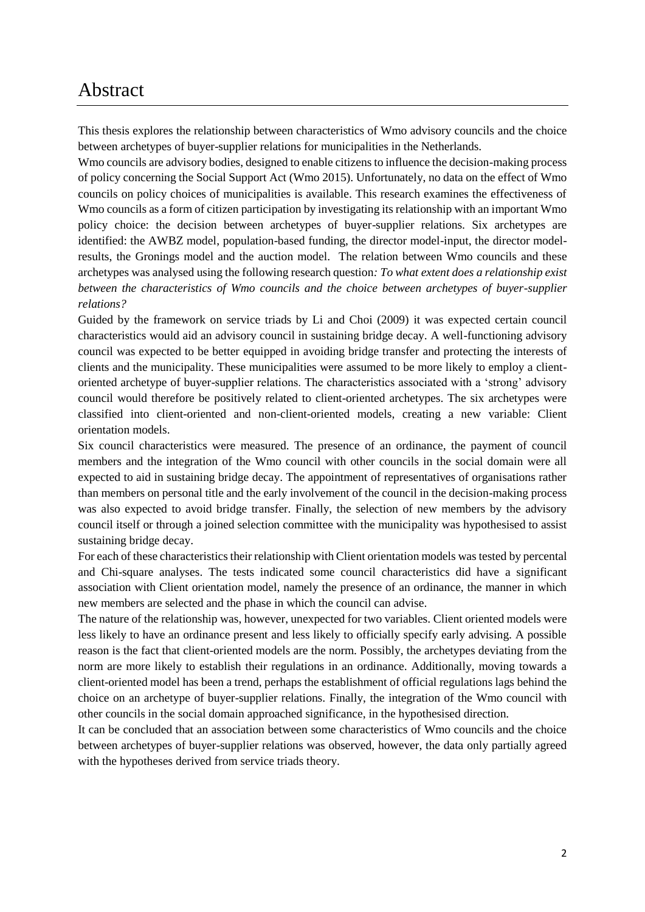### <span id="page-1-0"></span>Abstract

This thesis explores the relationship between characteristics of Wmo advisory councils and the choice between archetypes of buyer-supplier relations for municipalities in the Netherlands.

Wmo councils are advisory bodies, designed to enable citizens to influence the decision-making process of policy concerning the Social Support Act (Wmo 2015). Unfortunately, no data on the effect of Wmo councils on policy choices of municipalities is available. This research examines the effectiveness of Wmo councils as a form of citizen participation by investigating its relationship with an important Wmo policy choice: the decision between archetypes of buyer-supplier relations. Six archetypes are identified: the AWBZ model, population-based funding, the director model-input, the director modelresults, the Gronings model and the auction model. The relation between Wmo councils and these archetypes was analysed using the following research question*: To what extent does a relationship exist between the characteristics of Wmo councils and the choice between archetypes of buyer-supplier relations?*

Guided by the framework on service triads by Li and Choi (2009) it was expected certain council characteristics would aid an advisory council in sustaining bridge decay. A well-functioning advisory council was expected to be better equipped in avoiding bridge transfer and protecting the interests of clients and the municipality. These municipalities were assumed to be more likely to employ a clientoriented archetype of buyer-supplier relations. The characteristics associated with a 'strong' advisory council would therefore be positively related to client-oriented archetypes. The six archetypes were classified into client-oriented and non-client-oriented models, creating a new variable: Client orientation models.

Six council characteristics were measured. The presence of an ordinance, the payment of council members and the integration of the Wmo council with other councils in the social domain were all expected to aid in sustaining bridge decay. The appointment of representatives of organisations rather than members on personal title and the early involvement of the council in the decision-making process was also expected to avoid bridge transfer. Finally, the selection of new members by the advisory council itself or through a joined selection committee with the municipality was hypothesised to assist sustaining bridge decay.

For each of these characteristics their relationship with Client orientation models was tested by percental and Chi-square analyses. The tests indicated some council characteristics did have a significant association with Client orientation model, namely the presence of an ordinance, the manner in which new members are selected and the phase in which the council can advise.

The nature of the relationship was, however, unexpected for two variables. Client oriented models were less likely to have an ordinance present and less likely to officially specify early advising. A possible reason is the fact that client-oriented models are the norm. Possibly, the archetypes deviating from the norm are more likely to establish their regulations in an ordinance. Additionally, moving towards a client-oriented model has been a trend, perhaps the establishment of official regulations lags behind the choice on an archetype of buyer-supplier relations. Finally, the integration of the Wmo council with other councils in the social domain approached significance, in the hypothesised direction.

It can be concluded that an association between some characteristics of Wmo councils and the choice between archetypes of buyer-supplier relations was observed, however, the data only partially agreed with the hypotheses derived from service triads theory.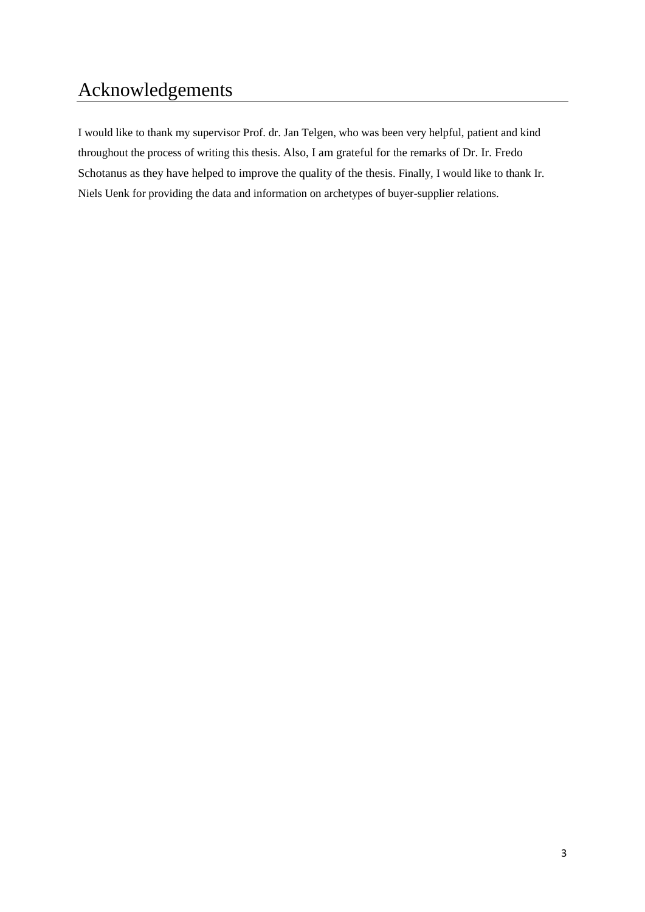# <span id="page-2-0"></span>Acknowledgements

I would like to thank my supervisor Prof. dr. Jan Telgen, who was been very helpful, patient and kind throughout the process of writing this thesis. Also, I am grateful for the remarks of Dr. Ir. Fredo Schotanus as they have helped to improve the quality of the thesis. Finally, I would like to thank Ir. Niels Uenk for providing the data and information on archetypes of buyer-supplier relations.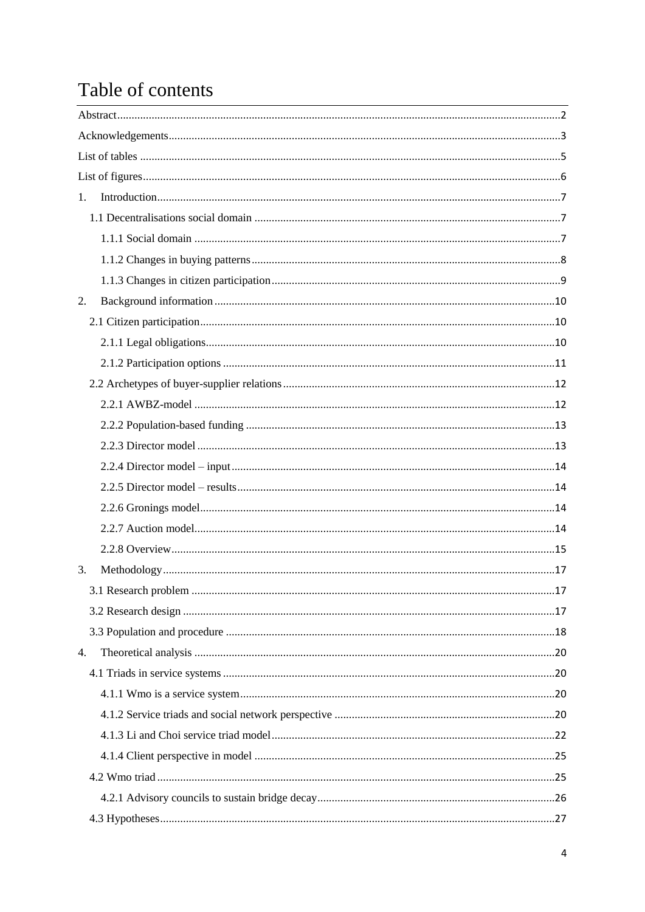# Table of contents

| 1. |  |
|----|--|
|    |  |
|    |  |
|    |  |
|    |  |
| 2. |  |
|    |  |
|    |  |
|    |  |
|    |  |
|    |  |
|    |  |
|    |  |
|    |  |
|    |  |
|    |  |
|    |  |
|    |  |
| 3. |  |
|    |  |
|    |  |
|    |  |
| 4. |  |
|    |  |
|    |  |
|    |  |
|    |  |
|    |  |
|    |  |
|    |  |
|    |  |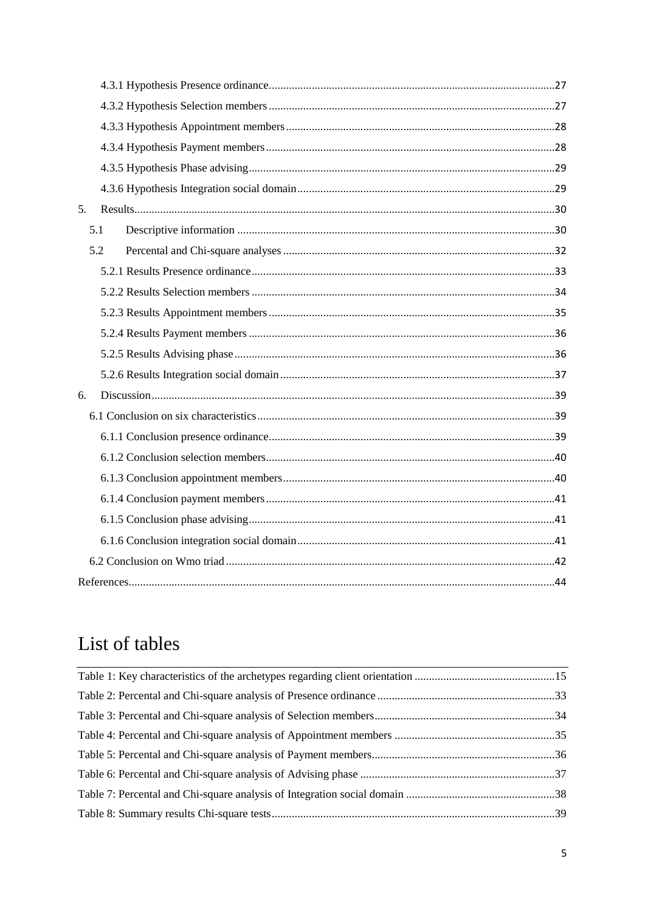| 5 <sub>1</sub> |     |  |  |  |  |
|----------------|-----|--|--|--|--|
|                | 5.1 |  |  |  |  |
|                | 5.2 |  |  |  |  |
|                |     |  |  |  |  |
|                |     |  |  |  |  |
|                |     |  |  |  |  |
|                |     |  |  |  |  |
|                |     |  |  |  |  |
|                |     |  |  |  |  |
| 6.             |     |  |  |  |  |
|                |     |  |  |  |  |
|                |     |  |  |  |  |
|                |     |  |  |  |  |
|                |     |  |  |  |  |
|                |     |  |  |  |  |
|                |     |  |  |  |  |
|                |     |  |  |  |  |
|                |     |  |  |  |  |
|                |     |  |  |  |  |

# <span id="page-4-0"></span>List of tables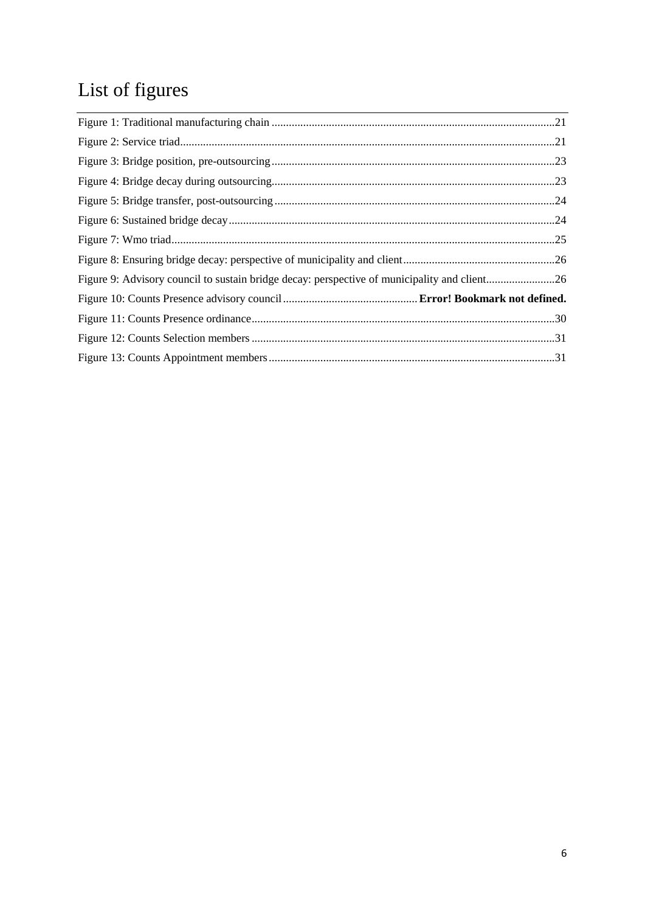# <span id="page-5-0"></span>List of figures

| Figure 9: Advisory council to sustain bridge decay: perspective of municipality and client26 |  |
|----------------------------------------------------------------------------------------------|--|
|                                                                                              |  |
|                                                                                              |  |
|                                                                                              |  |
|                                                                                              |  |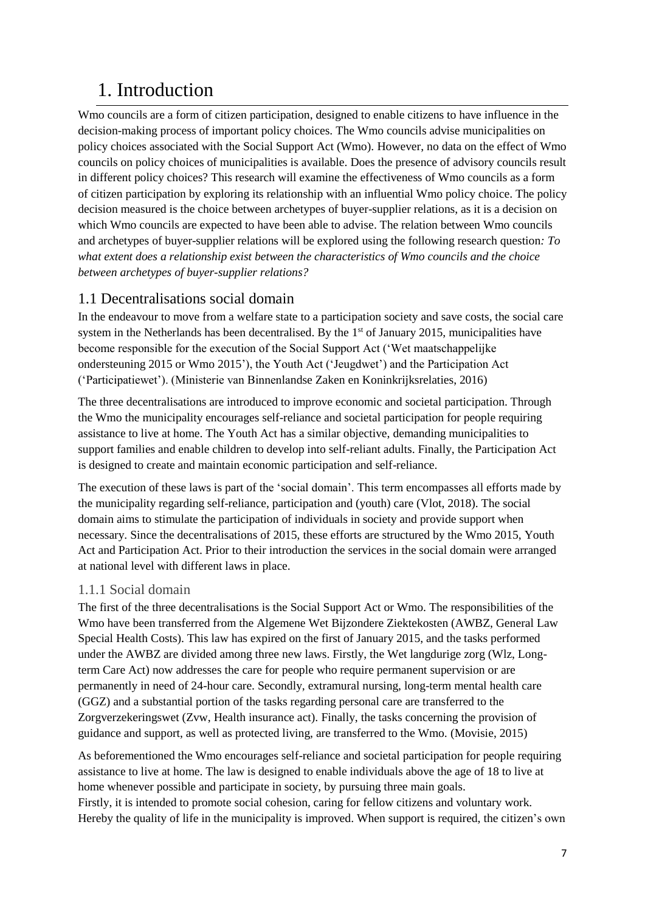## <span id="page-6-0"></span>1. Introduction

Wmo councils are a form of citizen participation, designed to enable citizens to have influence in the decision-making process of important policy choices. The Wmo councils advise municipalities on policy choices associated with the Social Support Act (Wmo). However, no data on the effect of Wmo councils on policy choices of municipalities is available. Does the presence of advisory councils result in different policy choices? This research will examine the effectiveness of Wmo councils as a form of citizen participation by exploring its relationship with an influential Wmo policy choice. The policy decision measured is the choice between archetypes of buyer-supplier relations, as it is a decision on which Wmo councils are expected to have been able to advise. The relation between Wmo councils and archetypes of buyer-supplier relations will be explored using the following research question*: To what extent does a relationship exist between the characteristics of Wmo councils and the choice between archetypes of buyer-supplier relations?*

#### <span id="page-6-1"></span>1.1 Decentralisations social domain

In the endeavour to move from a welfare state to a participation society and save costs, the social care system in the Netherlands has been decentralised. By the  $1<sup>st</sup>$  of January 2015, municipalities have become responsible for the execution of the Social Support Act ('Wet maatschappelijke ondersteuning 2015 or Wmo 2015'), the Youth Act ('Jeugdwet') and the Participation Act ('Participatiewet'). (Ministerie van Binnenlandse Zaken en Koninkrijksrelaties, 2016)

The three decentralisations are introduced to improve economic and societal participation. Through the Wmo the municipality encourages self-reliance and societal participation for people requiring assistance to live at home. The Youth Act has a similar objective, demanding municipalities to support families and enable children to develop into self-reliant adults. Finally, the Participation Act is designed to create and maintain economic participation and self-reliance.

The execution of these laws is part of the 'social domain'. This term encompasses all efforts made by the municipality regarding self-reliance, participation and (youth) care (Vlot, 2018). The social domain aims to stimulate the participation of individuals in society and provide support when necessary. Since the decentralisations of 2015, these efforts are structured by the Wmo 2015, Youth Act and Participation Act. Prior to their introduction the services in the social domain were arranged at national level with different laws in place.

#### <span id="page-6-2"></span>1.1.1 Social domain

The first of the three decentralisations is the Social Support Act or Wmo. The responsibilities of the Wmo have been transferred from the Algemene Wet Bijzondere Ziektekosten (AWBZ, General Law Special Health Costs). This law has expired on the first of January 2015, and the tasks performed under the AWBZ are divided among three new laws. Firstly, the Wet langdurige zorg (Wlz, Longterm Care Act) now addresses the care for people who require permanent supervision or are permanently in need of 24-hour care. Secondly, extramural nursing, long-term mental health care (GGZ) and a substantial portion of the tasks regarding personal care are transferred to the Zorgverzekeringswet (Zvw, Health insurance act). Finally, the tasks concerning the provision of guidance and support, as well as protected living, are transferred to the Wmo. (Movisie, 2015)

As beforementioned the Wmo encourages self-reliance and societal participation for people requiring assistance to live at home. The law is designed to enable individuals above the age of 18 to live at home whenever possible and participate in society, by pursuing three main goals. Firstly, it is intended to promote social cohesion, caring for fellow citizens and voluntary work. Hereby the quality of life in the municipality is improved. When support is required, the citizen's own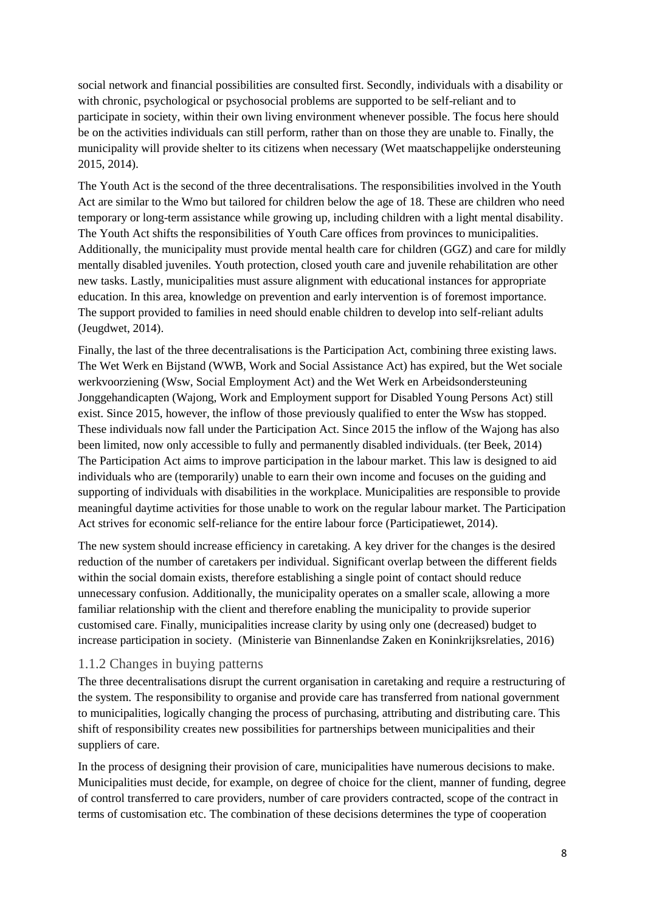social network and financial possibilities are consulted first. Secondly, individuals with a disability or with chronic, psychological or psychosocial problems are supported to be self-reliant and to participate in society, within their own living environment whenever possible. The focus here should be on the activities individuals can still perform, rather than on those they are unable to. Finally, the municipality will provide shelter to its citizens when necessary (Wet maatschappelijke ondersteuning 2015, 2014).

The Youth Act is the second of the three decentralisations. The responsibilities involved in the Youth Act are similar to the Wmo but tailored for children below the age of 18. These are children who need temporary or long-term assistance while growing up, including children with a light mental disability. The Youth Act shifts the responsibilities of Youth Care offices from provinces to municipalities. Additionally, the municipality must provide mental health care for children (GGZ) and care for mildly mentally disabled juveniles. Youth protection, closed youth care and juvenile rehabilitation are other new tasks. Lastly, municipalities must assure alignment with educational instances for appropriate education. In this area, knowledge on prevention and early intervention is of foremost importance. The support provided to families in need should enable children to develop into self-reliant adults (Jeugdwet, 2014).

Finally, the last of the three decentralisations is the Participation Act, combining three existing laws. The Wet Werk en Bijstand (WWB, Work and Social Assistance Act) has expired, but the Wet sociale werkvoorziening (Wsw, Social Employment Act) and the Wet Werk en Arbeidsondersteuning Jonggehandicapten (Wajong, Work and Employment support for Disabled Young Persons Act) still exist. Since 2015, however, the inflow of those previously qualified to enter the Wsw has stopped. These individuals now fall under the Participation Act. Since 2015 the inflow of the Wajong has also been limited, now only accessible to fully and permanently disabled individuals. (ter Beek, 2014) The Participation Act aims to improve participation in the labour market. This law is designed to aid individuals who are (temporarily) unable to earn their own income and focuses on the guiding and supporting of individuals with disabilities in the workplace. Municipalities are responsible to provide meaningful daytime activities for those unable to work on the regular labour market. The Participation Act strives for economic self-reliance for the entire labour force (Participatiewet, 2014).

The new system should increase efficiency in caretaking. A key driver for the changes is the desired reduction of the number of caretakers per individual. Significant overlap between the different fields within the social domain exists, therefore establishing a single point of contact should reduce unnecessary confusion. Additionally, the municipality operates on a smaller scale, allowing a more familiar relationship with the client and therefore enabling the municipality to provide superior customised care. Finally, municipalities increase clarity by using only one (decreased) budget to increase participation in society. (Ministerie van Binnenlandse Zaken en Koninkrijksrelaties, 2016)

#### <span id="page-7-0"></span>1.1.2 Changes in buying patterns

The three decentralisations disrupt the current organisation in caretaking and require a restructuring of the system. The responsibility to organise and provide care has transferred from national government to municipalities, logically changing the process of purchasing, attributing and distributing care. This shift of responsibility creates new possibilities for partnerships between municipalities and their suppliers of care.

In the process of designing their provision of care, municipalities have numerous decisions to make. Municipalities must decide, for example, on degree of choice for the client, manner of funding, degree of control transferred to care providers, number of care providers contracted, scope of the contract in terms of customisation etc. The combination of these decisions determines the type of cooperation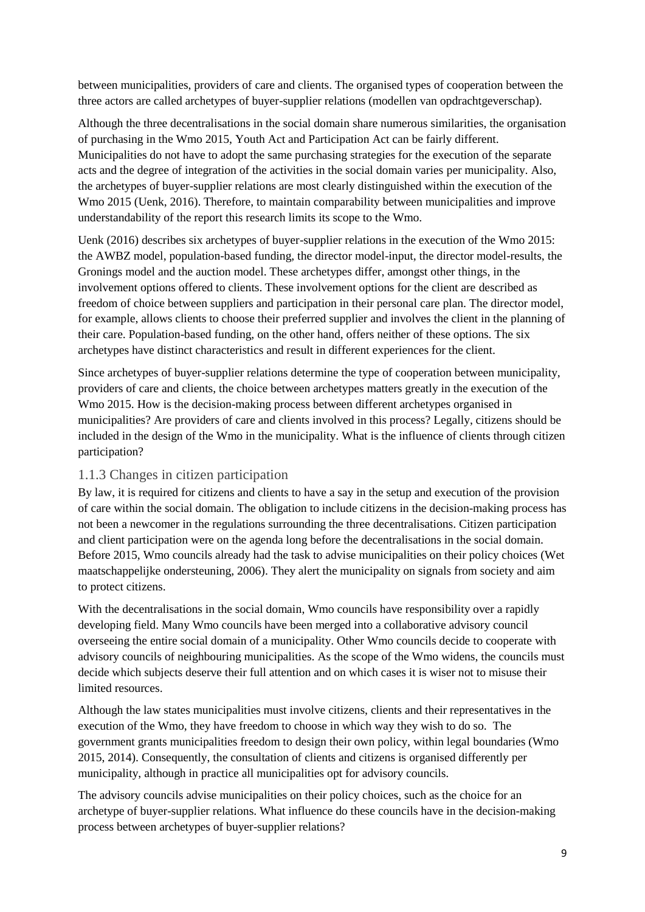between municipalities, providers of care and clients. The organised types of cooperation between the three actors are called archetypes of buyer-supplier relations (modellen van opdrachtgeverschap).

Although the three decentralisations in the social domain share numerous similarities, the organisation of purchasing in the Wmo 2015, Youth Act and Participation Act can be fairly different. Municipalities do not have to adopt the same purchasing strategies for the execution of the separate acts and the degree of integration of the activities in the social domain varies per municipality. Also, the archetypes of buyer-supplier relations are most clearly distinguished within the execution of the Wmo 2015 (Uenk, 2016). Therefore, to maintain comparability between municipalities and improve understandability of the report this research limits its scope to the Wmo.

Uenk (2016) describes six archetypes of buyer-supplier relations in the execution of the Wmo 2015: the AWBZ model, population-based funding, the director model-input, the director model-results, the Gronings model and the auction model. These archetypes differ, amongst other things, in the involvement options offered to clients. These involvement options for the client are described as freedom of choice between suppliers and participation in their personal care plan. The director model, for example, allows clients to choose their preferred supplier and involves the client in the planning of their care. Population-based funding, on the other hand, offers neither of these options. The six archetypes have distinct characteristics and result in different experiences for the client.

Since archetypes of buyer-supplier relations determine the type of cooperation between municipality, providers of care and clients, the choice between archetypes matters greatly in the execution of the Wmo 2015. How is the decision-making process between different archetypes organised in municipalities? Are providers of care and clients involved in this process? Legally, citizens should be included in the design of the Wmo in the municipality. What is the influence of clients through citizen participation?

#### <span id="page-8-0"></span>1.1.3 Changes in citizen participation

By law, it is required for citizens and clients to have a say in the setup and execution of the provision of care within the social domain. The obligation to include citizens in the decision-making process has not been a newcomer in the regulations surrounding the three decentralisations. Citizen participation and client participation were on the agenda long before the decentralisations in the social domain. Before 2015, Wmo councils already had the task to advise municipalities on their policy choices (Wet maatschappelijke ondersteuning, 2006). They alert the municipality on signals from society and aim to protect citizens.

With the decentralisations in the social domain, Wmo councils have responsibility over a rapidly developing field. Many Wmo councils have been merged into a collaborative advisory council overseeing the entire social domain of a municipality. Other Wmo councils decide to cooperate with advisory councils of neighbouring municipalities. As the scope of the Wmo widens, the councils must decide which subjects deserve their full attention and on which cases it is wiser not to misuse their limited resources.

Although the law states municipalities must involve citizens, clients and their representatives in the execution of the Wmo, they have freedom to choose in which way they wish to do so. The government grants municipalities freedom to design their own policy, within legal boundaries (Wmo 2015, 2014). Consequently, the consultation of clients and citizens is organised differently per municipality, although in practice all municipalities opt for advisory councils.

The advisory councils advise municipalities on their policy choices, such as the choice for an archetype of buyer-supplier relations. What influence do these councils have in the decision-making process between archetypes of buyer-supplier relations?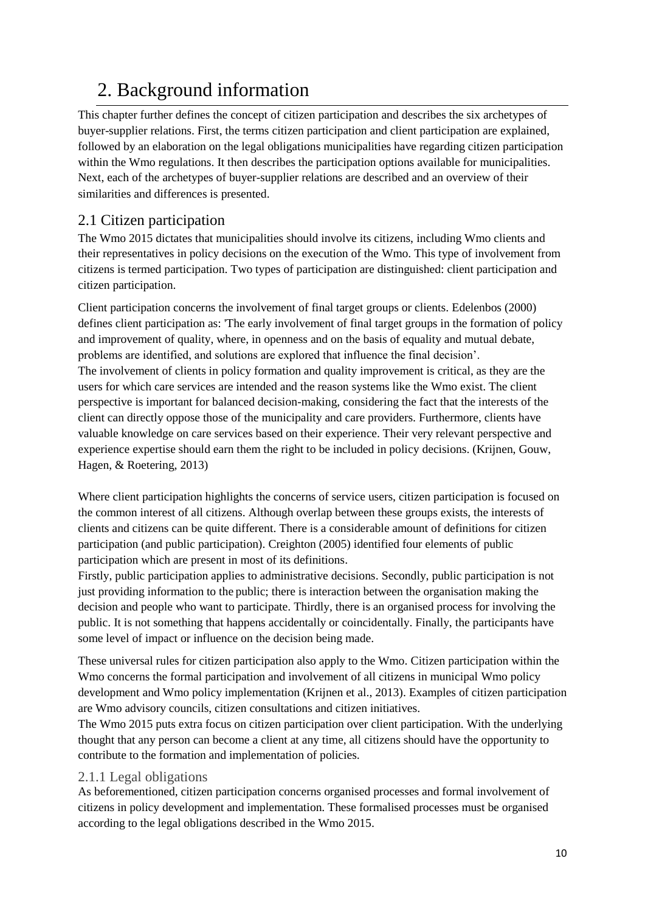# <span id="page-9-0"></span>2. Background information

This chapter further defines the concept of citizen participation and describes the six archetypes of buyer-supplier relations. First, the terms citizen participation and client participation are explained, followed by an elaboration on the legal obligations municipalities have regarding citizen participation within the Wmo regulations. It then describes the participation options available for municipalities. Next, each of the archetypes of buyer-supplier relations are described and an overview of their similarities and differences is presented.

#### <span id="page-9-1"></span>2.1 Citizen participation

The Wmo 2015 dictates that municipalities should involve its citizens, including Wmo clients and their representatives in policy decisions on the execution of the Wmo. This type of involvement from citizens is termed participation. Two types of participation are distinguished: client participation and citizen participation.

Client participation concerns the involvement of final target groups or clients. Edelenbos (2000) defines client participation as: 'The early involvement of final target groups in the formation of policy and improvement of quality, where, in openness and on the basis of equality and mutual debate, problems are identified, and solutions are explored that influence the final decision'. The involvement of clients in policy formation and quality improvement is critical, as they are the users for which care services are intended and the reason systems like the Wmo exist. The client perspective is important for balanced decision-making, considering the fact that the interests of the client can directly oppose those of the municipality and care providers. Furthermore, clients have valuable knowledge on care services based on their experience. Their very relevant perspective and experience expertise should earn them the right to be included in policy decisions. (Krijnen, Gouw, Hagen, & Roetering, 2013)

Where client participation highlights the concerns of service users, citizen participation is focused on the common interest of all citizens. Although overlap between these groups exists, the interests of clients and citizens can be quite different. There is a considerable amount of definitions for citizen participation (and public participation). Creighton (2005) identified four elements of public participation which are present in most of its definitions.

Firstly, public participation applies to administrative decisions. Secondly, public participation is not just providing information to the public; there is interaction between the organisation making the decision and people who want to participate. Thirdly, there is an organised process for involving the public. It is not something that happens accidentally or coincidentally. Finally, the participants have some level of impact or influence on the decision being made.

These universal rules for citizen participation also apply to the Wmo. Citizen participation within the Wmo concerns the formal participation and involvement of all citizens in municipal Wmo policy development and Wmo policy implementation (Krijnen et al., 2013). Examples of citizen participation are Wmo advisory councils, citizen consultations and citizen initiatives.

The Wmo 2015 puts extra focus on citizen participation over client participation. With the underlying thought that any person can become a client at any time, all citizens should have the opportunity to contribute to the formation and implementation of policies.

#### <span id="page-9-2"></span>2.1.1 Legal obligations

As beforementioned, citizen participation concerns organised processes and formal involvement of citizens in policy development and implementation. These formalised processes must be organised according to the legal obligations described in the Wmo 2015.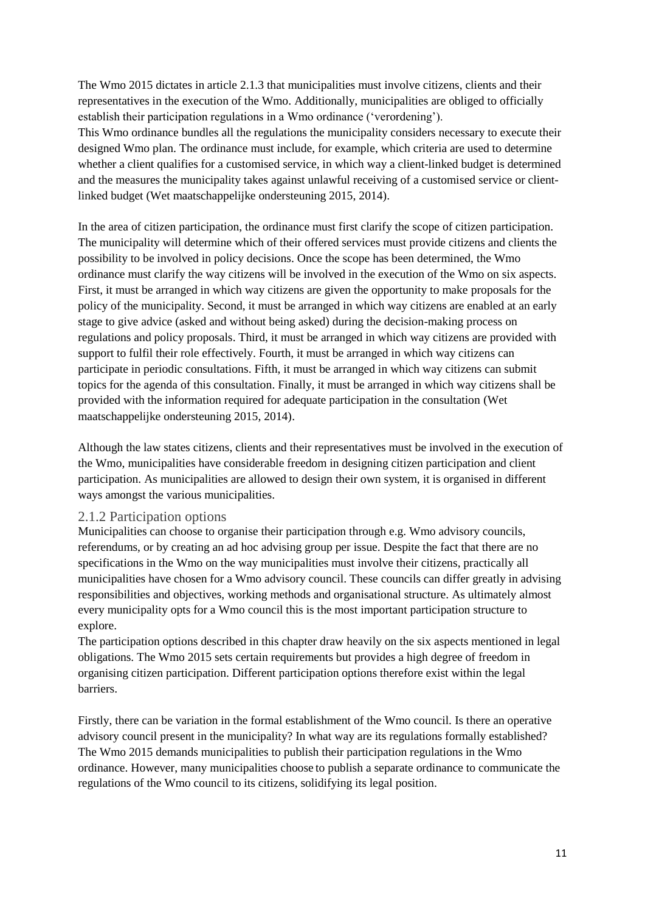The Wmo 2015 dictates in article 2.1.3 that municipalities must involve citizens, clients and their representatives in the execution of the Wmo. Additionally, municipalities are obliged to officially establish their participation regulations in a Wmo ordinance ('verordening').

This Wmo ordinance bundles all the regulations the municipality considers necessary to execute their designed Wmo plan. The ordinance must include, for example, which criteria are used to determine whether a client qualifies for a customised service, in which way a client-linked budget is determined and the measures the municipality takes against unlawful receiving of a customised service or clientlinked budget (Wet maatschappelijke ondersteuning 2015, 2014).

In the area of citizen participation, the ordinance must first clarify the scope of citizen participation. The municipality will determine which of their offered services must provide citizens and clients the possibility to be involved in policy decisions. Once the scope has been determined, the Wmo ordinance must clarify the way citizens will be involved in the execution of the Wmo on six aspects. First, it must be arranged in which way citizens are given the opportunity to make proposals for the policy of the municipality. Second, it must be arranged in which way citizens are enabled at an early stage to give advice (asked and without being asked) during the decision-making process on regulations and policy proposals. Third, it must be arranged in which way citizens are provided with support to fulfil their role effectively. Fourth, it must be arranged in which way citizens can participate in periodic consultations. Fifth, it must be arranged in which way citizens can submit topics for the agenda of this consultation. Finally, it must be arranged in which way citizens shall be provided with the information required for adequate participation in the consultation (Wet maatschappelijke ondersteuning 2015, 2014).

Although the law states citizens, clients and their representatives must be involved in the execution of the Wmo, municipalities have considerable freedom in designing citizen participation and client participation. As municipalities are allowed to design their own system, it is organised in different ways amongst the various municipalities.

#### <span id="page-10-0"></span>2.1.2 Participation options

Municipalities can choose to organise their participation through e.g. Wmo advisory councils, referendums, or by creating an ad hoc advising group per issue. Despite the fact that there are no specifications in the Wmo on the way municipalities must involve their citizens, practically all municipalities have chosen for a Wmo advisory council. These councils can differ greatly in advising responsibilities and objectives, working methods and organisational structure. As ultimately almost every municipality opts for a Wmo council this is the most important participation structure to explore.

The participation options described in this chapter draw heavily on the six aspects mentioned in legal obligations. The Wmo 2015 sets certain requirements but provides a high degree of freedom in organising citizen participation. Different participation options therefore exist within the legal barriers.

Firstly, there can be variation in the formal establishment of the Wmo council. Is there an operative advisory council present in the municipality? In what way are its regulations formally established? The Wmo 2015 demands municipalities to publish their participation regulations in the Wmo ordinance. However, many municipalities choose to publish a separate ordinance to communicate the regulations of the Wmo council to its citizens, solidifying its legal position.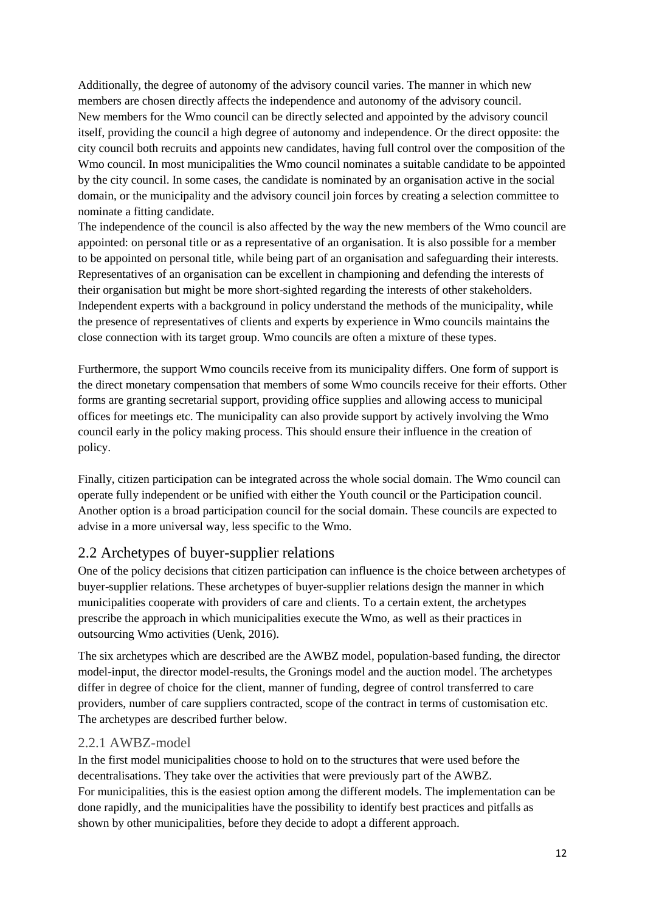Additionally, the degree of autonomy of the advisory council varies. The manner in which new members are chosen directly affects the independence and autonomy of the advisory council. New members for the Wmo council can be directly selected and appointed by the advisory council itself, providing the council a high degree of autonomy and independence. Or the direct opposite: the city council both recruits and appoints new candidates, having full control over the composition of the Wmo council. In most municipalities the Wmo council nominates a suitable candidate to be appointed by the city council. In some cases, the candidate is nominated by an organisation active in the social domain, or the municipality and the advisory council join forces by creating a selection committee to nominate a fitting candidate.

The independence of the council is also affected by the way the new members of the Wmo council are appointed: on personal title or as a representative of an organisation. It is also possible for a member to be appointed on personal title, while being part of an organisation and safeguarding their interests. Representatives of an organisation can be excellent in championing and defending the interests of their organisation but might be more short-sighted regarding the interests of other stakeholders. Independent experts with a background in policy understand the methods of the municipality, while the presence of representatives of clients and experts by experience in Wmo councils maintains the close connection with its target group. Wmo councils are often a mixture of these types.

Furthermore, the support Wmo councils receive from its municipality differs. One form of support is the direct monetary compensation that members of some Wmo councils receive for their efforts. Other forms are granting secretarial support, providing office supplies and allowing access to municipal offices for meetings etc. The municipality can also provide support by actively involving the Wmo council early in the policy making process. This should ensure their influence in the creation of policy.

Finally, citizen participation can be integrated across the whole social domain. The Wmo council can operate fully independent or be unified with either the Youth council or the Participation council. Another option is a broad participation council for the social domain. These councils are expected to advise in a more universal way, less specific to the Wmo.

#### <span id="page-11-0"></span>2.2 Archetypes of buyer-supplier relations

One of the policy decisions that citizen participation can influence is the choice between archetypes of buyer-supplier relations. These archetypes of buyer-supplier relations design the manner in which municipalities cooperate with providers of care and clients. To a certain extent, the archetypes prescribe the approach in which municipalities execute the Wmo, as well as their practices in outsourcing Wmo activities (Uenk, 2016).

The six archetypes which are described are the AWBZ model, population-based funding, the director model-input, the director model-results, the Gronings model and the auction model. The archetypes differ in degree of choice for the client, manner of funding, degree of control transferred to care providers, number of care suppliers contracted, scope of the contract in terms of customisation etc. The archetypes are described further below.

#### <span id="page-11-1"></span>2.2.1 AWBZ-model

In the first model municipalities choose to hold on to the structures that were used before the decentralisations. They take over the activities that were previously part of the AWBZ. For municipalities, this is the easiest option among the different models. The implementation can be done rapidly, and the municipalities have the possibility to identify best practices and pitfalls as shown by other municipalities, before they decide to adopt a different approach.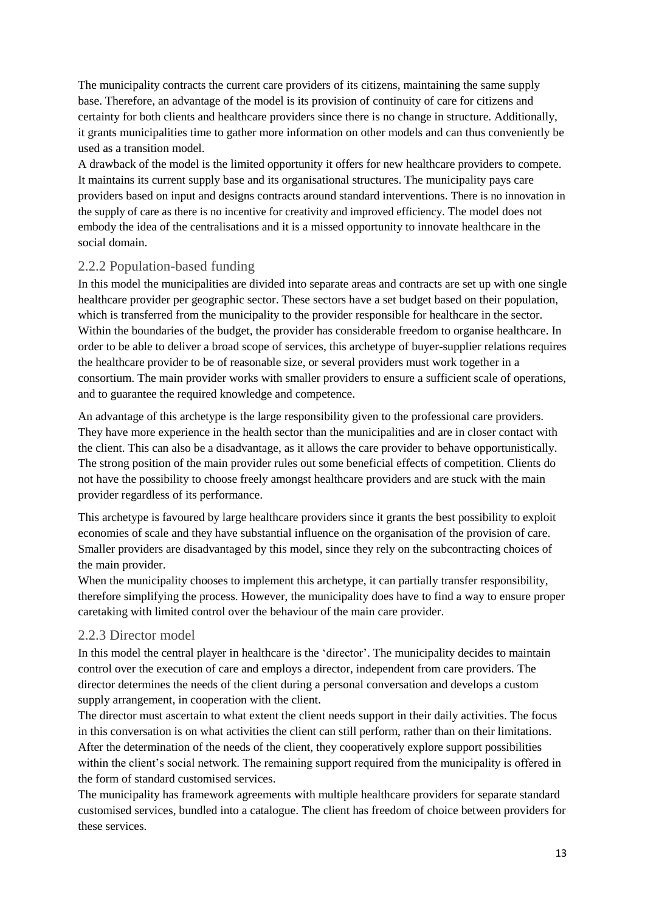The municipality contracts the current care providers of its citizens, maintaining the same supply base. Therefore, an advantage of the model is its provision of continuity of care for citizens and certainty for both clients and healthcare providers since there is no change in structure. Additionally, it grants municipalities time to gather more information on other models and can thus conveniently be used as a transition model.

A drawback of the model is the limited opportunity it offers for new healthcare providers to compete. It maintains its current supply base and its organisational structures. The municipality pays care providers based on input and designs contracts around standard interventions. There is no innovation in the supply of care as there is no incentive for creativity and improved efficiency. The model does not embody the idea of the centralisations and it is a missed opportunity to innovate healthcare in the social domain.

#### <span id="page-12-0"></span>2.2.2 Population-based funding

In this model the municipalities are divided into separate areas and contracts are set up with one single healthcare provider per geographic sector. These sectors have a set budget based on their population, which is transferred from the municipality to the provider responsible for healthcare in the sector. Within the boundaries of the budget, the provider has considerable freedom to organise healthcare. In order to be able to deliver a broad scope of services, this archetype of buyer-supplier relations requires the healthcare provider to be of reasonable size, or several providers must work together in a consortium. The main provider works with smaller providers to ensure a sufficient scale of operations, and to guarantee the required knowledge and competence.

An advantage of this archetype is the large responsibility given to the professional care providers. They have more experience in the health sector than the municipalities and are in closer contact with the client. This can also be a disadvantage, as it allows the care provider to behave opportunistically. The strong position of the main provider rules out some beneficial effects of competition. Clients do not have the possibility to choose freely amongst healthcare providers and are stuck with the main provider regardless of its performance.

This archetype is favoured by large healthcare providers since it grants the best possibility to exploit economies of scale and they have substantial influence on the organisation of the provision of care. Smaller providers are disadvantaged by this model, since they rely on the subcontracting choices of the main provider.

When the municipality chooses to implement this archetype, it can partially transfer responsibility, therefore simplifying the process. However, the municipality does have to find a way to ensure proper caretaking with limited control over the behaviour of the main care provider.

#### <span id="page-12-1"></span>2.2.3 Director model

In this model the central player in healthcare is the 'director'. The municipality decides to maintain control over the execution of care and employs a director, independent from care providers. The director determines the needs of the client during a personal conversation and develops a custom supply arrangement, in cooperation with the client.

The director must ascertain to what extent the client needs support in their daily activities. The focus in this conversation is on what activities the client can still perform, rather than on their limitations. After the determination of the needs of the client, they cooperatively explore support possibilities within the client's social network. The remaining support required from the municipality is offered in the form of standard customised services.

The municipality has framework agreements with multiple healthcare providers for separate standard customised services, bundled into a catalogue. The client has freedom of choice between providers for these services.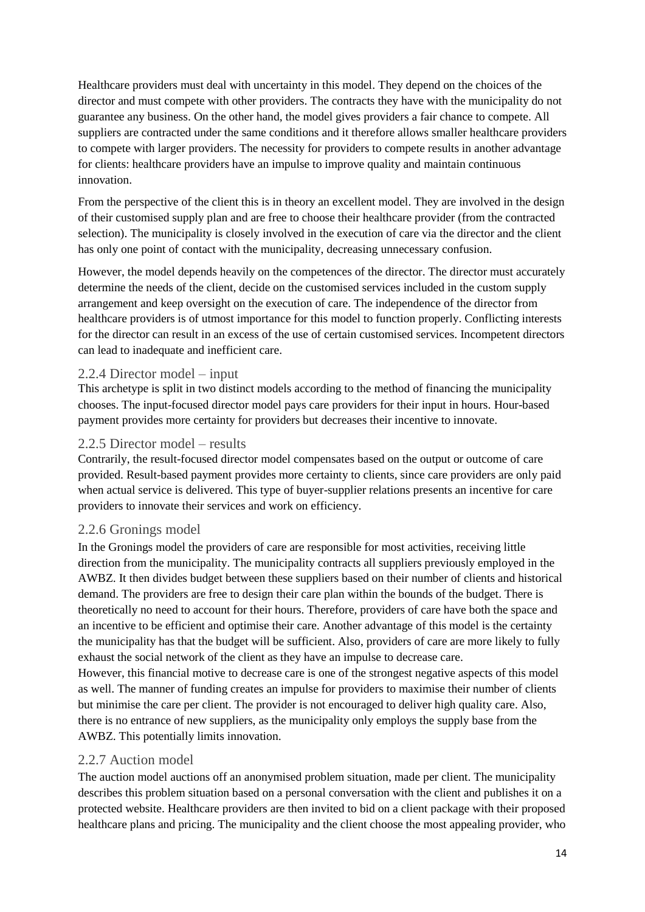Healthcare providers must deal with uncertainty in this model. They depend on the choices of the director and must compete with other providers. The contracts they have with the municipality do not guarantee any business. On the other hand, the model gives providers a fair chance to compete. All suppliers are contracted under the same conditions and it therefore allows smaller healthcare providers to compete with larger providers. The necessity for providers to compete results in another advantage for clients: healthcare providers have an impulse to improve quality and maintain continuous innovation.

From the perspective of the client this is in theory an excellent model. They are involved in the design of their customised supply plan and are free to choose their healthcare provider (from the contracted selection). The municipality is closely involved in the execution of care via the director and the client has only one point of contact with the municipality, decreasing unnecessary confusion.

However, the model depends heavily on the competences of the director. The director must accurately determine the needs of the client, decide on the customised services included in the custom supply arrangement and keep oversight on the execution of care. The independence of the director from healthcare providers is of utmost importance for this model to function properly. Conflicting interests for the director can result in an excess of the use of certain customised services. Incompetent directors can lead to inadequate and inefficient care.

#### <span id="page-13-0"></span>2.2.4 Director model – input

This archetype is split in two distinct models according to the method of financing the municipality chooses. The input-focused director model pays care providers for their input in hours. Hour-based payment provides more certainty for providers but decreases their incentive to innovate.

#### <span id="page-13-1"></span>2.2.5 Director model – results

Contrarily, the result-focused director model compensates based on the output or outcome of care provided. Result-based payment provides more certainty to clients, since care providers are only paid when actual service is delivered. This type of buyer-supplier relations presents an incentive for care providers to innovate their services and work on efficiency.

#### <span id="page-13-2"></span>2.2.6 Gronings model

In the Gronings model the providers of care are responsible for most activities, receiving little direction from the municipality. The municipality contracts all suppliers previously employed in the AWBZ. It then divides budget between these suppliers based on their number of clients and historical demand. The providers are free to design their care plan within the bounds of the budget. There is theoretically no need to account for their hours. Therefore, providers of care have both the space and an incentive to be efficient and optimise their care. Another advantage of this model is the certainty the municipality has that the budget will be sufficient. Also, providers of care are more likely to fully exhaust the social network of the client as they have an impulse to decrease care.

However, this financial motive to decrease care is one of the strongest negative aspects of this model as well. The manner of funding creates an impulse for providers to maximise their number of clients but minimise the care per client. The provider is not encouraged to deliver high quality care. Also, there is no entrance of new suppliers, as the municipality only employs the supply base from the AWBZ. This potentially limits innovation.

#### <span id="page-13-3"></span>2.2.7 Auction model

The auction model auctions off an anonymised problem situation, made per client. The municipality describes this problem situation based on a personal conversation with the client and publishes it on a protected website. Healthcare providers are then invited to bid on a client package with their proposed healthcare plans and pricing. The municipality and the client choose the most appealing provider, who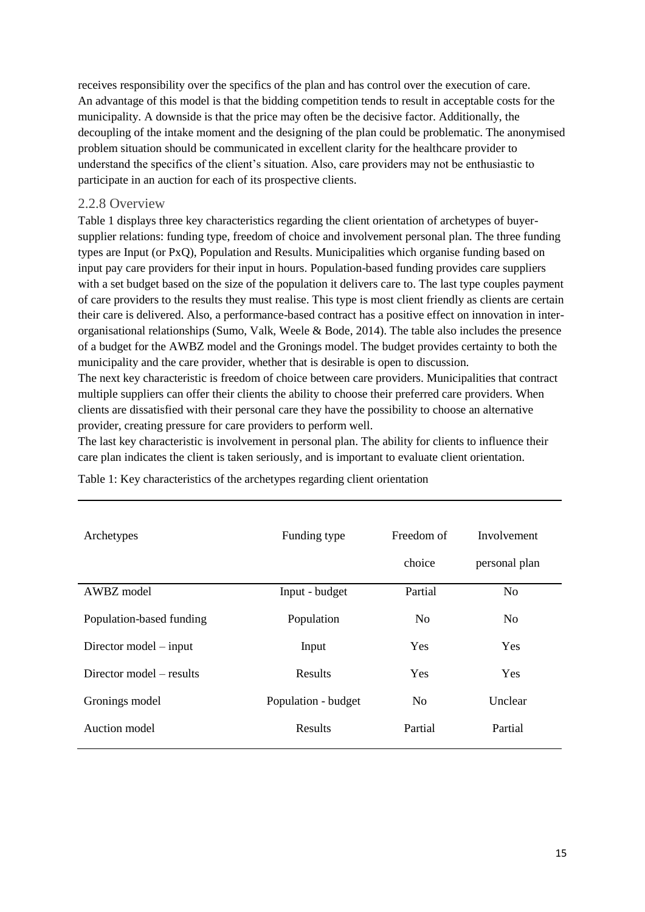receives responsibility over the specifics of the plan and has control over the execution of care. An advantage of this model is that the bidding competition tends to result in acceptable costs for the municipality. A downside is that the price may often be the decisive factor. Additionally, the decoupling of the intake moment and the designing of the plan could be problematic. The anonymised problem situation should be communicated in excellent clarity for the healthcare provider to understand the specifics of the client's situation. Also, care providers may not be enthusiastic to participate in an auction for each of its prospective clients.

#### <span id="page-14-0"></span>2.2.8 Overview

Table 1 displays three key characteristics regarding the client orientation of archetypes of buyersupplier relations: funding type, freedom of choice and involvement personal plan. The three funding types are Input (or PxQ), Population and Results. Municipalities which organise funding based on input pay care providers for their input in hours. Population-based funding provides care suppliers with a set budget based on the size of the population it delivers care to. The last type couples payment of care providers to the results they must realise. This type is most client friendly as clients are certain their care is delivered. Also, a performance-based contract has a positive effect on innovation in interorganisational relationships (Sumo, Valk, Weele & Bode, 2014). The table also includes the presence of a budget for the AWBZ model and the Gronings model. The budget provides certainty to both the municipality and the care provider, whether that is desirable is open to discussion.

The next key characteristic is freedom of choice between care providers. Municipalities that contract multiple suppliers can offer their clients the ability to choose their preferred care providers. When clients are dissatisfied with their personal care they have the possibility to choose an alternative provider, creating pressure for care providers to perform well.

The last key characteristic is involvement in personal plan. The ability for clients to influence their care plan indicates the client is taken seriously, and is important to evaluate client orientation.

| Archetypes               | Funding type        | Freedom of     | Involvement    |
|--------------------------|---------------------|----------------|----------------|
|                          |                     | choice         | personal plan  |
| AWBZ model               | Input - budget      | Partial        | N <sub>0</sub> |
| Population-based funding | Population          | N <sub>o</sub> | N <sub>0</sub> |
| Director model $-$ input | Input               | <b>Yes</b>     | <b>Yes</b>     |
| Director model – results | Results             | Yes            | <b>Yes</b>     |
| Gronings model           | Population - budget | N <sub>o</sub> | Unclear        |
| Auction model            | Results             | Partial        | Partial        |

<span id="page-14-1"></span>Table 1: Key characteristics of the archetypes regarding client orientation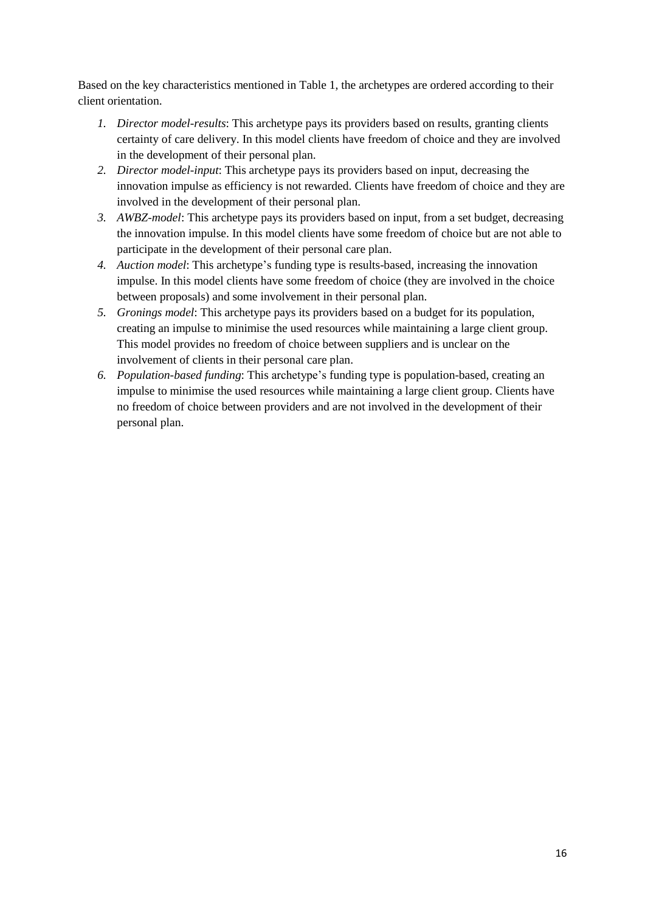Based on the key characteristics mentioned in Table 1, the archetypes are ordered according to their client orientation.

- *1. Director model-results*: This archetype pays its providers based on results, granting clients certainty of care delivery. In this model clients have freedom of choice and they are involved in the development of their personal plan.
- *2. Director model-input*: This archetype pays its providers based on input, decreasing the innovation impulse as efficiency is not rewarded. Clients have freedom of choice and they are involved in the development of their personal plan.
- *3. AWBZ-model*: This archetype pays its providers based on input, from a set budget, decreasing the innovation impulse. In this model clients have some freedom of choice but are not able to participate in the development of their personal care plan.
- *4. Auction model*: This archetype's funding type is results-based, increasing the innovation impulse. In this model clients have some freedom of choice (they are involved in the choice between proposals) and some involvement in their personal plan.
- *5. Gronings model*: This archetype pays its providers based on a budget for its population, creating an impulse to minimise the used resources while maintaining a large client group. This model provides no freedom of choice between suppliers and is unclear on the involvement of clients in their personal care plan.
- *6. Population-based funding*: This archetype's funding type is population-based, creating an impulse to minimise the used resources while maintaining a large client group. Clients have no freedom of choice between providers and are not involved in the development of their personal plan.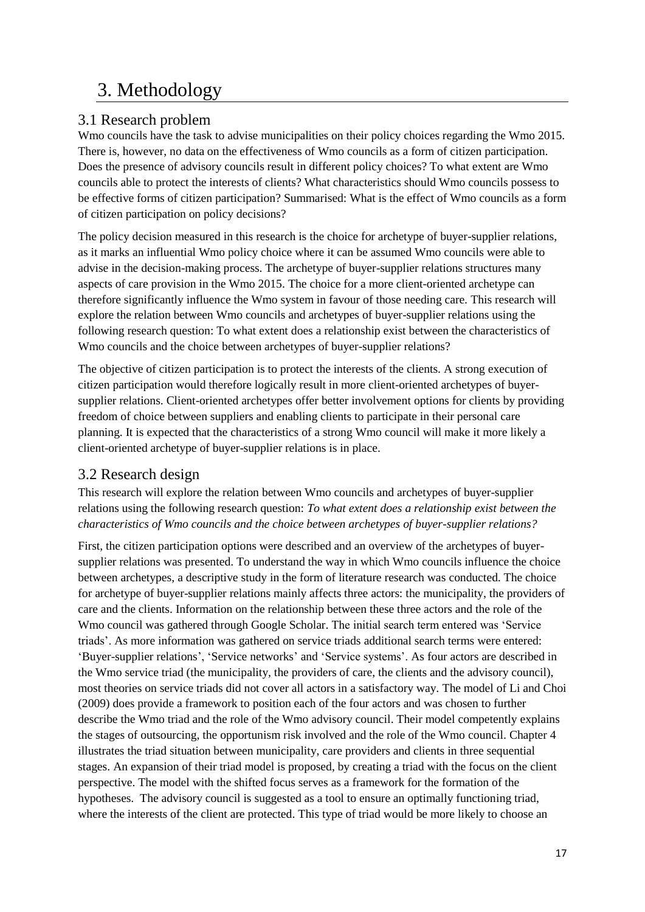# <span id="page-16-0"></span>3. Methodology

#### <span id="page-16-1"></span>3.1 Research problem

Wmo councils have the task to advise municipalities on their policy choices regarding the Wmo 2015. There is, however, no data on the effectiveness of Wmo councils as a form of citizen participation. Does the presence of advisory councils result in different policy choices? To what extent are Wmo councils able to protect the interests of clients? What characteristics should Wmo councils possess to be effective forms of citizen participation? Summarised: What is the effect of Wmo councils as a form of citizen participation on policy decisions?

The policy decision measured in this research is the choice for archetype of buyer-supplier relations, as it marks an influential Wmo policy choice where it can be assumed Wmo councils were able to advise in the decision-making process. The archetype of buyer-supplier relations structures many aspects of care provision in the Wmo 2015. The choice for a more client-oriented archetype can therefore significantly influence the Wmo system in favour of those needing care. This research will explore the relation between Wmo councils and archetypes of buyer-supplier relations using the following research question: To what extent does a relationship exist between the characteristics of Wmo councils and the choice between archetypes of buyer-supplier relations?

The objective of citizen participation is to protect the interests of the clients. A strong execution of citizen participation would therefore logically result in more client-oriented archetypes of buyersupplier relations. Client-oriented archetypes offer better involvement options for clients by providing freedom of choice between suppliers and enabling clients to participate in their personal care planning. It is expected that the characteristics of a strong Wmo council will make it more likely a client-oriented archetype of buyer-supplier relations is in place.

#### <span id="page-16-2"></span>3.2 Research design

This research will explore the relation between Wmo councils and archetypes of buyer-supplier relations using the following research question: *To what extent does a relationship exist between the characteristics of Wmo councils and the choice between archetypes of buyer-supplier relations?*

First, the citizen participation options were described and an overview of the archetypes of buyersupplier relations was presented. To understand the way in which Wmo councils influence the choice between archetypes, a descriptive study in the form of literature research was conducted. The choice for archetype of buyer-supplier relations mainly affects three actors: the municipality, the providers of care and the clients. Information on the relationship between these three actors and the role of the Wmo council was gathered through Google Scholar. The initial search term entered was 'Service triads'. As more information was gathered on service triads additional search terms were entered: 'Buyer-supplier relations', 'Service networks' and 'Service systems'. As four actors are described in the Wmo service triad (the municipality, the providers of care, the clients and the advisory council), most theories on service triads did not cover all actors in a satisfactory way. The model of Li and Choi (2009) does provide a framework to position each of the four actors and was chosen to further describe the Wmo triad and the role of the Wmo advisory council. Their model competently explains the stages of outsourcing, the opportunism risk involved and the role of the Wmo council. Chapter 4 illustrates the triad situation between municipality, care providers and clients in three sequential stages. An expansion of their triad model is proposed, by creating a triad with the focus on the client perspective. The model with the shifted focus serves as a framework for the formation of the hypotheses. The advisory council is suggested as a tool to ensure an optimally functioning triad, where the interests of the client are protected. This type of triad would be more likely to choose an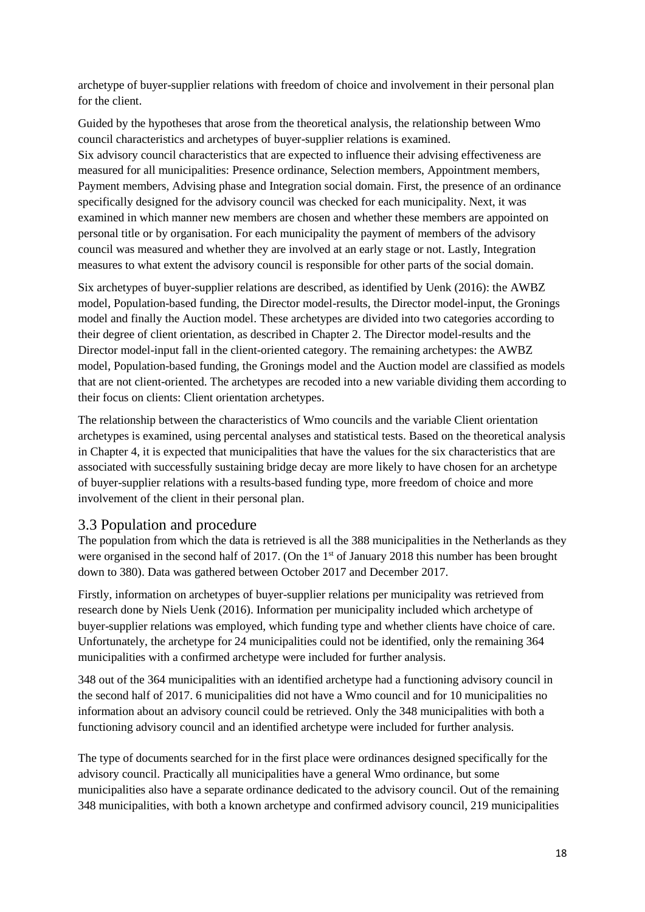archetype of buyer-supplier relations with freedom of choice and involvement in their personal plan for the client.

Guided by the hypotheses that arose from the theoretical analysis, the relationship between Wmo council characteristics and archetypes of buyer-supplier relations is examined. Six advisory council characteristics that are expected to influence their advising effectiveness are measured for all municipalities: Presence ordinance, Selection members, Appointment members, Payment members, Advising phase and Integration social domain. First, the presence of an ordinance specifically designed for the advisory council was checked for each municipality. Next, it was examined in which manner new members are chosen and whether these members are appointed on personal title or by organisation. For each municipality the payment of members of the advisory council was measured and whether they are involved at an early stage or not. Lastly, Integration measures to what extent the advisory council is responsible for other parts of the social domain.

Six archetypes of buyer-supplier relations are described, as identified by Uenk (2016): the AWBZ model, Population-based funding, the Director model-results, the Director model-input, the Gronings model and finally the Auction model. These archetypes are divided into two categories according to their degree of client orientation, as described in Chapter 2. The Director model-results and the Director model-input fall in the client-oriented category. The remaining archetypes: the AWBZ model, Population-based funding, the Gronings model and the Auction model are classified as models that are not client-oriented. The archetypes are recoded into a new variable dividing them according to their focus on clients: Client orientation archetypes.

The relationship between the characteristics of Wmo councils and the variable Client orientation archetypes is examined, using percental analyses and statistical tests. Based on the theoretical analysis in Chapter 4, it is expected that municipalities that have the values for the six characteristics that are associated with successfully sustaining bridge decay are more likely to have chosen for an archetype of buyer-supplier relations with a results-based funding type, more freedom of choice and more involvement of the client in their personal plan.

#### <span id="page-17-0"></span>3.3 Population and procedure

The population from which the data is retrieved is all the 388 municipalities in the Netherlands as they were organised in the second half of 2017. (On the 1<sup>st</sup> of January 2018 this number has been brought down to 380). Data was gathered between October 2017 and December 2017.

Firstly, information on archetypes of buyer-supplier relations per municipality was retrieved from research done by Niels Uenk (2016). Information per municipality included which archetype of buyer-supplier relations was employed, which funding type and whether clients have choice of care. Unfortunately, the archetype for 24 municipalities could not be identified, only the remaining 364 municipalities with a confirmed archetype were included for further analysis.

348 out of the 364 municipalities with an identified archetype had a functioning advisory council in the second half of 2017. 6 municipalities did not have a Wmo council and for 10 municipalities no information about an advisory council could be retrieved. Only the 348 municipalities with both a functioning advisory council and an identified archetype were included for further analysis.

The type of documents searched for in the first place were ordinances designed specifically for the advisory council. Practically all municipalities have a general Wmo ordinance, but some municipalities also have a separate ordinance dedicated to the advisory council. Out of the remaining 348 municipalities, with both a known archetype and confirmed advisory council, 219 municipalities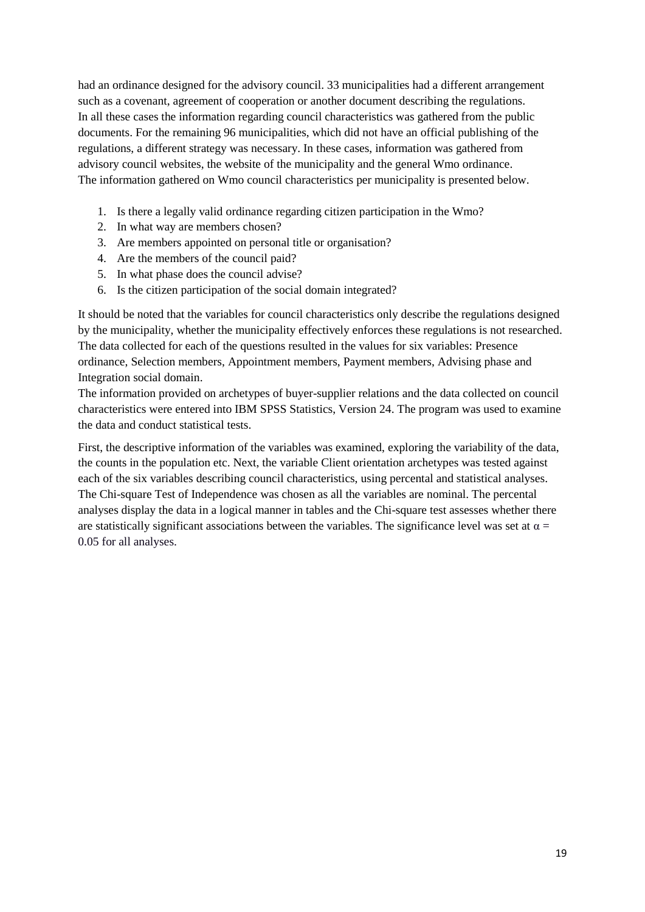had an ordinance designed for the advisory council. 33 municipalities had a different arrangement such as a covenant, agreement of cooperation or another document describing the regulations. In all these cases the information regarding council characteristics was gathered from the public documents. For the remaining 96 municipalities, which did not have an official publishing of the regulations, a different strategy was necessary. In these cases, information was gathered from advisory council websites, the website of the municipality and the general Wmo ordinance. The information gathered on Wmo council characteristics per municipality is presented below.

- 1. Is there a legally valid ordinance regarding citizen participation in the Wmo?
- 2. In what way are members chosen?
- 3. Are members appointed on personal title or organisation?
- 4. Are the members of the council paid?
- 5. In what phase does the council advise?
- 6. Is the citizen participation of the social domain integrated?

It should be noted that the variables for council characteristics only describe the regulations designed by the municipality, whether the municipality effectively enforces these regulations is not researched. The data collected for each of the questions resulted in the values for six variables: Presence ordinance, Selection members, Appointment members, Payment members, Advising phase and Integration social domain.

The information provided on archetypes of buyer-supplier relations and the data collected on council characteristics were entered into IBM SPSS Statistics, Version 24. The program was used to examine the data and conduct statistical tests.

First, the descriptive information of the variables was examined, exploring the variability of the data, the counts in the population etc. Next, the variable Client orientation archetypes was tested against each of the six variables describing council characteristics, using percental and statistical analyses. The Chi-square Test of Independence was chosen as all the variables are nominal. The percental analyses display the data in a logical manner in tables and the Chi-square test assesses whether there are statistically significant associations between the variables. The significance level was set at  $\alpha =$ 0.05 for all analyses.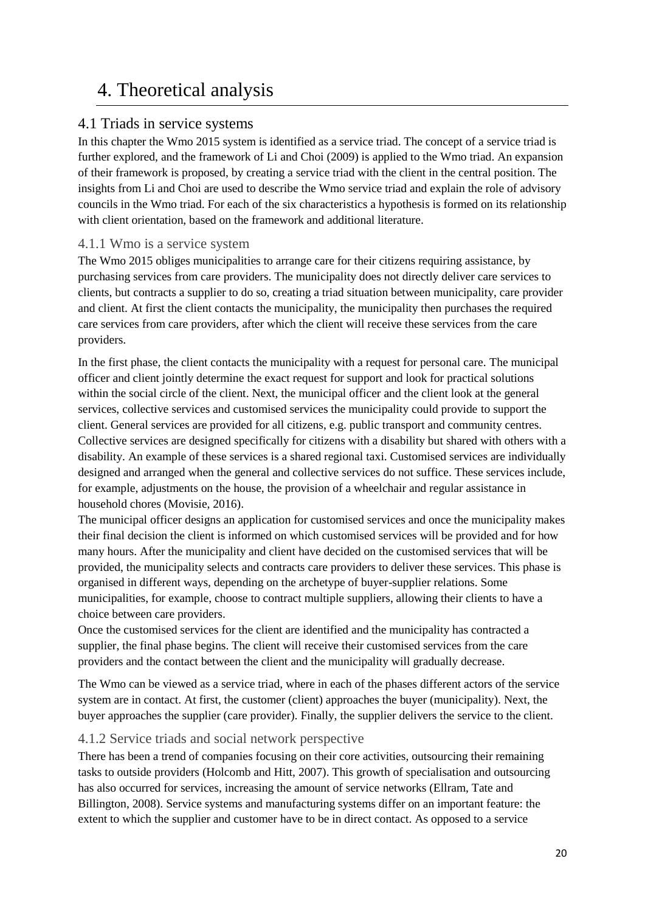# <span id="page-19-0"></span>4. Theoretical analysis

#### <span id="page-19-1"></span>4.1 Triads in service systems

In this chapter the Wmo 2015 system is identified as a service triad. The concept of a service triad is further explored, and the framework of Li and Choi (2009) is applied to the Wmo triad. An expansion of their framework is proposed, by creating a service triad with the client in the central position. The insights from Li and Choi are used to describe the Wmo service triad and explain the role of advisory councils in the Wmo triad. For each of the six characteristics a hypothesis is formed on its relationship with client orientation, based on the framework and additional literature.

#### <span id="page-19-2"></span>4.1.1 Wmo is a service system

The Wmo 2015 obliges municipalities to arrange care for their citizens requiring assistance, by purchasing services from care providers. The municipality does not directly deliver care services to clients, but contracts a supplier to do so, creating a triad situation between municipality, care provider and client. At first the client contacts the municipality, the municipality then purchases the required care services from care providers, after which the client will receive these services from the care providers.

In the first phase, the client contacts the municipality with a request for personal care. The municipal officer and client jointly determine the exact request for support and look for practical solutions within the social circle of the client. Next, the municipal officer and the client look at the general services, collective services and customised services the municipality could provide to support the client. General services are provided for all citizens, e.g. public transport and community centres. Collective services are designed specifically for citizens with a disability but shared with others with a disability. An example of these services is a shared regional taxi. Customised services are individually designed and arranged when the general and collective services do not suffice. These services include, for example, adjustments on the house, the provision of a wheelchair and regular assistance in household chores (Movisie, 2016).

The municipal officer designs an application for customised services and once the municipality makes their final decision the client is informed on which customised services will be provided and for how many hours. After the municipality and client have decided on the customised services that will be provided, the municipality selects and contracts care providers to deliver these services. This phase is organised in different ways, depending on the archetype of buyer-supplier relations. Some municipalities, for example, choose to contract multiple suppliers, allowing their clients to have a choice between care providers.

Once the customised services for the client are identified and the municipality has contracted a supplier, the final phase begins. The client will receive their customised services from the care providers and the contact between the client and the municipality will gradually decrease.

The Wmo can be viewed as a service triad, where in each of the phases different actors of the service system are in contact. At first, the customer (client) approaches the buyer (municipality). Next, the buyer approaches the supplier (care provider). Finally, the supplier delivers the service to the client.

#### <span id="page-19-3"></span>4.1.2 Service triads and social network perspective

There has been a trend of companies focusing on their core activities, outsourcing their remaining tasks to outside providers (Holcomb and Hitt, 2007). This growth of specialisation and outsourcing has also occurred for services, increasing the amount of service networks (Ellram, Tate and Billington, 2008). Service systems and manufacturing systems differ on an important feature: the extent to which the supplier and customer have to be in direct contact. As opposed to a service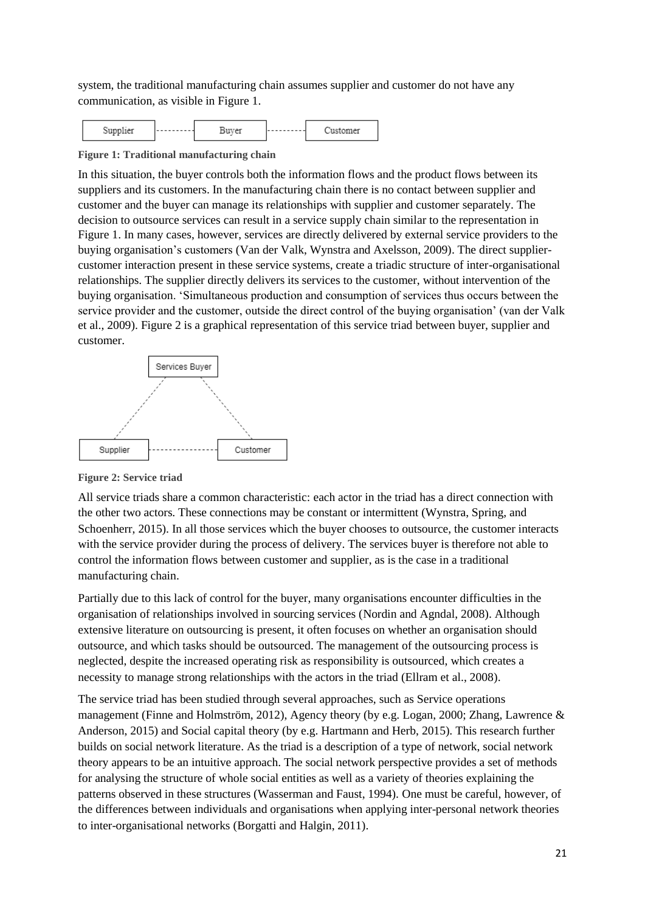system, the traditional manufacturing chain assumes supplier and customer do not have any communication, as visible in Figure 1.

<span id="page-20-0"></span>

**Figure 1: Traditional manufacturing chain**

In this situation, the buyer controls both the information flows and the product flows between its suppliers and its customers. In the manufacturing chain there is no contact between supplier and customer and the buyer can manage its relationships with supplier and customer separately. The decision to outsource services can result in a service supply chain similar to the representation in Figure 1. In many cases, however, services are directly delivered by external service providers to the buying organisation's customers (Van der Valk, Wynstra and Axelsson, 2009). The direct suppliercustomer interaction present in these service systems, create a triadic structure of inter-organisational relationships. The supplier directly delivers its services to the customer, without intervention of the buying organisation. 'Simultaneous production and consumption of services thus occurs between the service provider and the customer, outside the direct control of the buying organisation' (van der Valk et al., 2009). Figure 2 is a graphical representation of this service triad between buyer, supplier and customer.



<span id="page-20-1"></span>**Figure 2: Service triad**

All service triads share a common characteristic: each actor in the triad has a direct connection with the other two actors. These connections may be constant or intermittent (Wynstra, Spring, and Schoenherr, 2015). In all those services which the buyer chooses to outsource, the customer interacts with the service provider during the process of delivery. The services buyer is therefore not able to control the information flows between customer and supplier, as is the case in a traditional manufacturing chain.

Partially due to this lack of control for the buyer, many organisations encounter difficulties in the organisation of relationships involved in sourcing services (Nordin and Agndal, 2008). Although extensive literature on outsourcing is present, it often focuses on whether an organisation should outsource, and which tasks should be outsourced. The management of the outsourcing process is neglected, despite the increased operating risk as responsibility is outsourced, which creates a necessity to manage strong relationships with the actors in the triad (Ellram et al., 2008).

The service triad has been studied through several approaches, such as Service operations management (Finne and Holmström, 2012), Agency theory (by e.g. Logan, 2000; Zhang, Lawrence & Anderson, 2015) and Social capital theory (by e.g. Hartmann and Herb, 2015)*.* This research further builds on social network literature. As the triad is a description of a type of network, social network theory appears to be an intuitive approach. The social network perspective provides a set of methods for analysing the structure of whole social entities as well as a variety of theories explaining the patterns observed in these structures (Wasserman and Faust, 1994). One must be careful, however, of the differences between individuals and organisations when applying inter-personal network theories to inter-organisational networks (Borgatti and Halgin, 2011).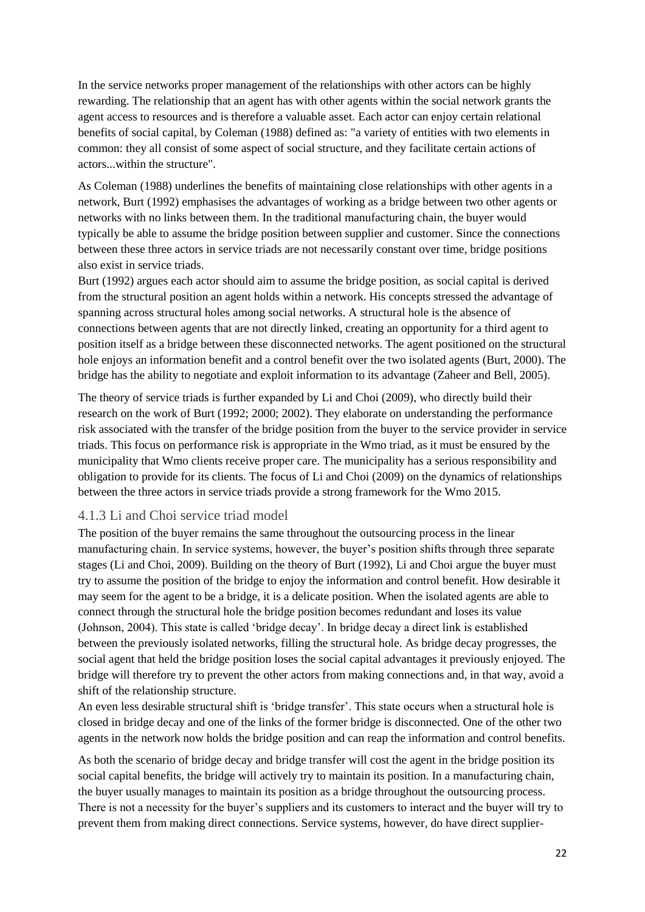In the service networks proper management of the relationships with other actors can be highly rewarding. The relationship that an agent has with other agents within the social network grants the agent access to resources and is therefore a valuable asset. Each actor can enjoy certain relational benefits of social capital, by Coleman (1988) defined as: "a variety of entities with two elements in common: they all consist of some aspect of social structure, and they facilitate certain actions of actors...within the structure".

As Coleman (1988) underlines the benefits of maintaining close relationships with other agents in a network, Burt (1992) emphasises the advantages of working as a bridge between two other agents or networks with no links between them. In the traditional manufacturing chain, the buyer would typically be able to assume the bridge position between supplier and customer. Since the connections between these three actors in service triads are not necessarily constant over time, bridge positions also exist in service triads.

Burt (1992) argues each actor should aim to assume the bridge position, as social capital is derived from the structural position an agent holds within a network. His concepts stressed the advantage of spanning across structural holes among social networks. A structural hole is the absence of connections between agents that are not directly linked, creating an opportunity for a third agent to position itself as a bridge between these disconnected networks. The agent positioned on the structural hole enjoys an information benefit and a control benefit over the two isolated agents (Burt, 2000). The bridge has the ability to negotiate and exploit information to its advantage (Zaheer and Bell, 2005).

The theory of service triads is further expanded by Li and Choi (2009), who directly build their research on the work of Burt (1992; 2000; 2002). They elaborate on understanding the performance risk associated with the transfer of the bridge position from the buyer to the service provider in service triads. This focus on performance risk is appropriate in the Wmo triad, as it must be ensured by the municipality that Wmo clients receive proper care. The municipality has a serious responsibility and obligation to provide for its clients. The focus of Li and Choi (2009) on the dynamics of relationships between the three actors in service triads provide a strong framework for the Wmo 2015.

#### <span id="page-21-0"></span>4.1.3 Li and Choi service triad model

The position of the buyer remains the same throughout the outsourcing process in the linear manufacturing chain. In service systems, however, the buyer's position shifts through three separate stages (Li and Choi, 2009). Building on the theory of Burt (1992), Li and Choi argue the buyer must try to assume the position of the bridge to enjoy the information and control benefit. How desirable it may seem for the agent to be a bridge, it is a delicate position. When the isolated agents are able to connect through the structural hole the bridge position becomes redundant and loses its value (Johnson, 2004). This state is called 'bridge decay'. In bridge decay a direct link is established between the previously isolated networks, filling the structural hole. As bridge decay progresses, the social agent that held the bridge position loses the social capital advantages it previously enjoyed. The bridge will therefore try to prevent the other actors from making connections and, in that way, avoid a shift of the relationship structure.

An even less desirable structural shift is 'bridge transfer'. This state occurs when a structural hole is closed in bridge decay and one of the links of the former bridge is disconnected. One of the other two agents in the network now holds the bridge position and can reap the information and control benefits.

As both the scenario of bridge decay and bridge transfer will cost the agent in the bridge position its social capital benefits, the bridge will actively try to maintain its position. In a manufacturing chain, the buyer usually manages to maintain its position as a bridge throughout the outsourcing process. There is not a necessity for the buyer's suppliers and its customers to interact and the buyer will try to prevent them from making direct connections. Service systems, however, do have direct supplier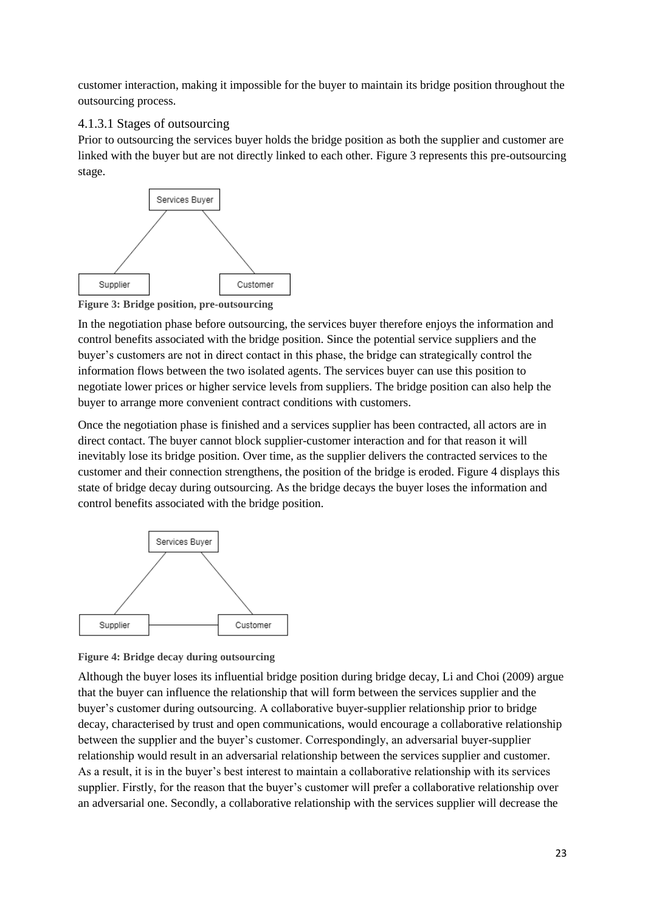customer interaction, making it impossible for the buyer to maintain its bridge position throughout the outsourcing process.

#### 4.1.3.1 Stages of outsourcing

Prior to outsourcing the services buyer holds the bridge position as both the supplier and customer are linked with the buyer but are not directly linked to each other. Figure 3 represents this pre-outsourcing stage.



<span id="page-22-0"></span>**Figure 3: Bridge position, pre-outsourcing** 

In the negotiation phase before outsourcing, the services buyer therefore enjoys the information and control benefits associated with the bridge position. Since the potential service suppliers and the buyer's customers are not in direct contact in this phase, the bridge can strategically control the information flows between the two isolated agents. The services buyer can use this position to negotiate lower prices or higher service levels from suppliers. The bridge position can also help the buyer to arrange more convenient contract conditions with customers.

Once the negotiation phase is finished and a services supplier has been contracted, all actors are in direct contact. The buyer cannot block supplier-customer interaction and for that reason it will inevitably lose its bridge position. Over time, as the supplier delivers the contracted services to the customer and their connection strengthens, the position of the bridge is eroded. Figure 4 displays this state of bridge decay during outsourcing. As the bridge decays the buyer loses the information and control benefits associated with the bridge position.



<span id="page-22-1"></span>

Although the buyer loses its influential bridge position during bridge decay, Li and Choi (2009) argue that the buyer can influence the relationship that will form between the services supplier and the buyer's customer during outsourcing. A collaborative buyer-supplier relationship prior to bridge decay, characterised by trust and open communications, would encourage a collaborative relationship between the supplier and the buyer's customer. Correspondingly, an adversarial buyer-supplier relationship would result in an adversarial relationship between the services supplier and customer. As a result, it is in the buyer's best interest to maintain a collaborative relationship with its services supplier. Firstly, for the reason that the buyer's customer will prefer a collaborative relationship over an adversarial one. Secondly, a collaborative relationship with the services supplier will decrease the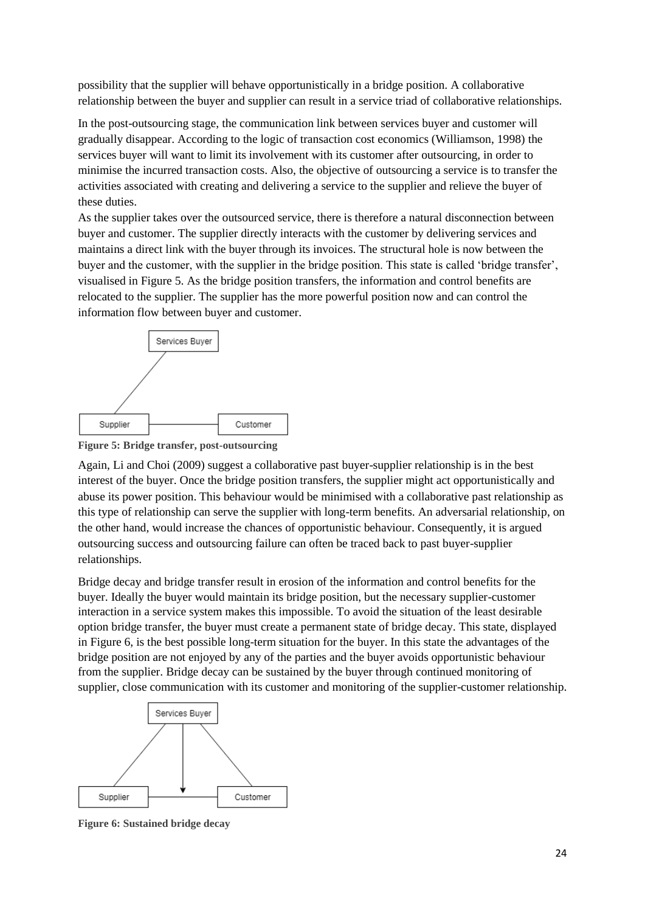possibility that the supplier will behave opportunistically in a bridge position. A collaborative relationship between the buyer and supplier can result in a service triad of collaborative relationships.

In the post-outsourcing stage, the communication link between services buyer and customer will gradually disappear. According to the logic of transaction cost economics (Williamson, 1998) the services buyer will want to limit its involvement with its customer after outsourcing, in order to minimise the incurred transaction costs. Also, the objective of outsourcing a service is to transfer the activities associated with creating and delivering a service to the supplier and relieve the buyer of these duties.

As the supplier takes over the outsourced service, there is therefore a natural disconnection between buyer and customer. The supplier directly interacts with the customer by delivering services and maintains a direct link with the buyer through its invoices. The structural hole is now between the buyer and the customer, with the supplier in the bridge position. This state is called 'bridge transfer', visualised in Figure 5. As the bridge position transfers, the information and control benefits are relocated to the supplier. The supplier has the more powerful position now and can control the information flow between buyer and customer.



<span id="page-23-0"></span>**Figure 5: Bridge transfer, post-outsourcing**

Again, Li and Choi (2009) suggest a collaborative past buyer-supplier relationship is in the best interest of the buyer. Once the bridge position transfers, the supplier might act opportunistically and abuse its power position. This behaviour would be minimised with a collaborative past relationship as this type of relationship can serve the supplier with long-term benefits. An adversarial relationship, on the other hand, would increase the chances of opportunistic behaviour. Consequently, it is argued outsourcing success and outsourcing failure can often be traced back to past buyer-supplier relationships.

Bridge decay and bridge transfer result in erosion of the information and control benefits for the buyer. Ideally the buyer would maintain its bridge position, but the necessary supplier-customer interaction in a service system makes this impossible. To avoid the situation of the least desirable option bridge transfer, the buyer must create a permanent state of bridge decay. This state, displayed in Figure 6, is the best possible long-term situation for the buyer. In this state the advantages of the bridge position are not enjoyed by any of the parties and the buyer avoids opportunistic behaviour from the supplier. Bridge decay can be sustained by the buyer through continued monitoring of supplier, close communication with its customer and monitoring of the supplier-customer relationship.



<span id="page-23-1"></span>**Figure 6: Sustained bridge decay**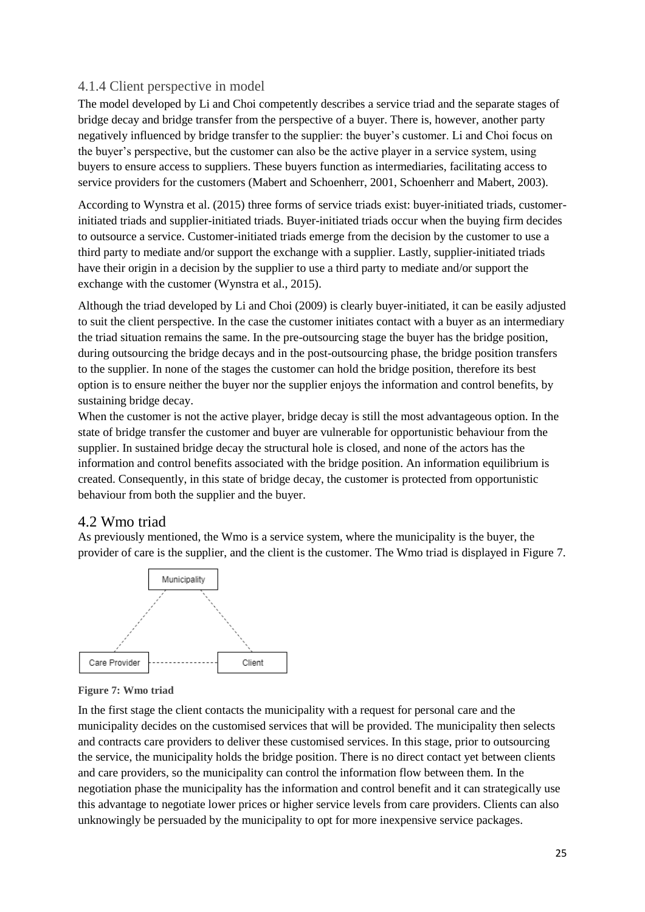#### <span id="page-24-0"></span>4.1.4 Client perspective in model

The model developed by Li and Choi competently describes a service triad and the separate stages of bridge decay and bridge transfer from the perspective of a buyer. There is, however, another party negatively influenced by bridge transfer to the supplier: the buyer's customer. Li and Choi focus on the buyer's perspective, but the customer can also be the active player in a service system, using buyers to ensure access to suppliers. These buyers function as intermediaries, facilitating access to service providers for the customers (Mabert and Schoenherr, 2001, Schoenherr and Mabert, 2003).

According to Wynstra et al. (2015) three forms of service triads exist: buyer-initiated triads, customerinitiated triads and supplier-initiated triads. Buyer-initiated triads occur when the buying firm decides to outsource a service. Customer-initiated triads emerge from the decision by the customer to use a third party to mediate and/or support the exchange with a supplier. Lastly, supplier-initiated triads have their origin in a decision by the supplier to use a third party to mediate and/or support the exchange with the customer (Wynstra et al., 2015).

Although the triad developed by Li and Choi (2009) is clearly buyer-initiated, it can be easily adjusted to suit the client perspective. In the case the customer initiates contact with a buyer as an intermediary the triad situation remains the same. In the pre-outsourcing stage the buyer has the bridge position, during outsourcing the bridge decays and in the post-outsourcing phase, the bridge position transfers to the supplier. In none of the stages the customer can hold the bridge position, therefore its best option is to ensure neither the buyer nor the supplier enjoys the information and control benefits, by sustaining bridge decay.

When the customer is not the active player, bridge decay is still the most advantageous option. In the state of bridge transfer the customer and buyer are vulnerable for opportunistic behaviour from the supplier. In sustained bridge decay the structural hole is closed, and none of the actors has the information and control benefits associated with the bridge position. An information equilibrium is created. Consequently, in this state of bridge decay, the customer is protected from opportunistic behaviour from both the supplier and the buyer.

#### <span id="page-24-1"></span>4.2 Wmo triad

As previously mentioned, the Wmo is a service system, where the municipality is the buyer, the provider of care is the supplier, and the client is the customer. The Wmo triad is displayed in Figure 7.



<span id="page-24-2"></span>**Figure 7: Wmo triad**

In the first stage the client contacts the municipality with a request for personal care and the municipality decides on the customised services that will be provided. The municipality then selects and contracts care providers to deliver these customised services. In this stage, prior to outsourcing the service, the municipality holds the bridge position. There is no direct contact yet between clients and care providers, so the municipality can control the information flow between them. In the negotiation phase the municipality has the information and control benefit and it can strategically use this advantage to negotiate lower prices or higher service levels from care providers. Clients can also unknowingly be persuaded by the municipality to opt for more inexpensive service packages.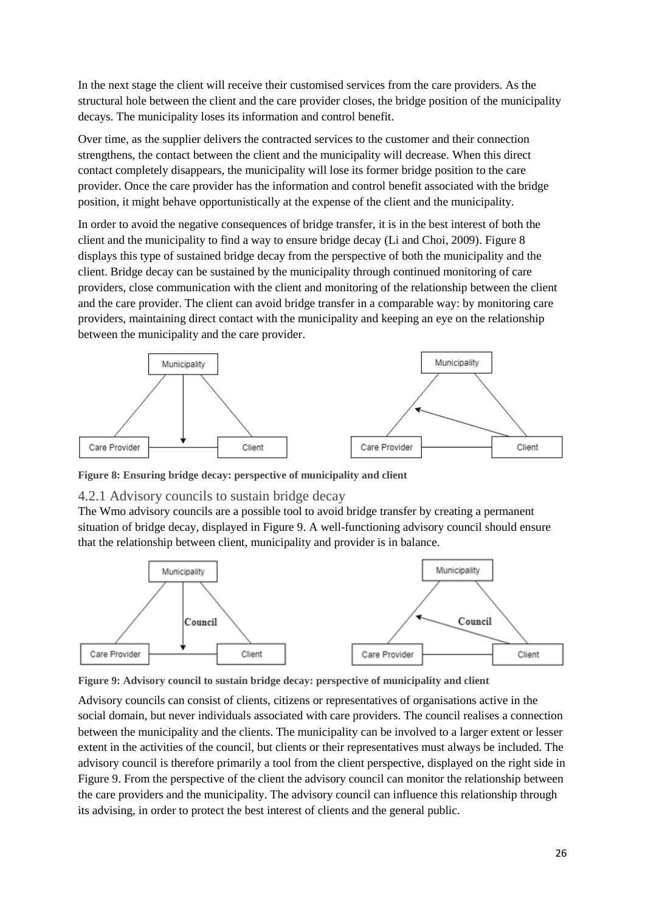In the next stage the client will receive their customised services from the care providers. As the structural hole between the client and the care provider closes, the bridge position of the municipality decays. The municipality loses its information and control benefit.

Over time, as the supplier delivers the contracted services to the customer and their connection strengthens, the contact between the client and the municipality will decrease. When this direct contact completely disappears, the municipality will lose its former bridge position to the care provider. Once the care provider has the information and control benefit associated with the bridge position, it might behave opportunistically at the expense of the client and the municipality.

In order to avoid the negative consequences of bridge transfer, it is in the best interest of both the client and the municipality to find a way to ensure bridge decay (Li and Choi, 2009). Figure 8 displays this type of sustained bridge decay from the perspective of both the municipality and the client. Bridge decay can be sustained by the municipality through continued monitoring of care providers, close communication with the client and monitoring of the relationship between the client and the care provider. The client can avoid bridge transfer in a comparable way: by monitoring care providers, maintaining direct contact with the municipality and keeping an eye on the relationship between the municipality and the care provider.



<span id="page-25-1"></span>**Figure 8: Ensuring bridge decay: perspective of municipality and client**

#### <span id="page-25-0"></span>4.2.1 Advisory councils to sustain bridge decay

The Wmo advisory councils are a possible tool to avoid bridge transfer by creating a permanent situation of bridge decay, displayed in Figure 9. A well-functioning advisory council should ensure that the relationship between client, municipality and provider is in balance.



<span id="page-25-2"></span>**Figure 9: Advisory council to sustain bridge decay: perspective of municipality and client**

Advisory councils can consist of clients, citizens or representatives of organisations active in the social domain, but never individuals associated with care providers. The council realises a connection between the municipality and the clients. The municipality can be involved to a larger extent or lesser extent in the activities of the council, but clients or their representatives must always be included. The advisory council is therefore primarily a tool from the client perspective, displayed on the right side in Figure 9. From the perspective of the client the advisory council can monitor the relationship between the care providers and the municipality. The advisory council can influence this relationship through its advising, in order to protect the best interest of clients and the general public.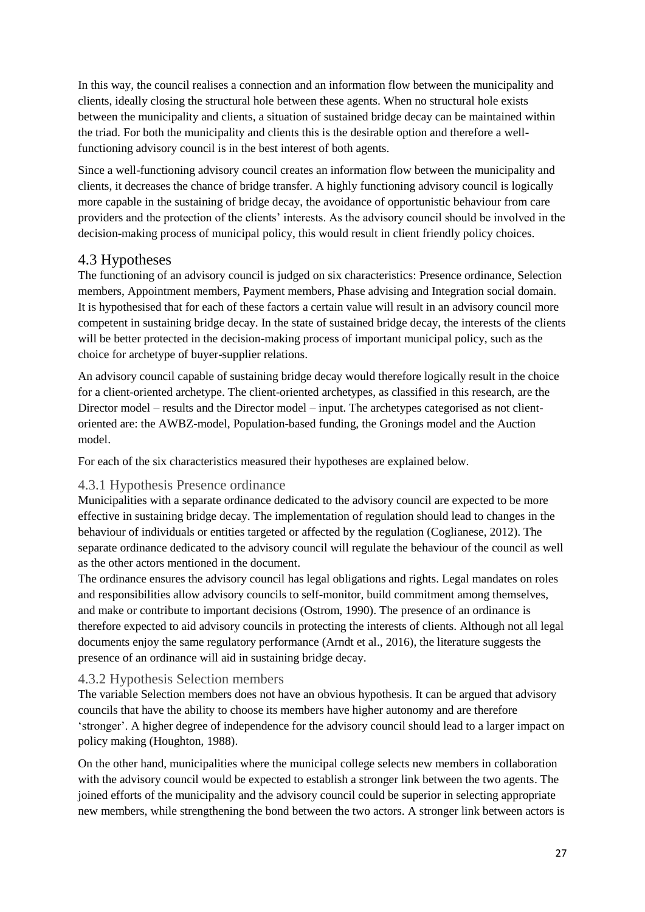In this way, the council realises a connection and an information flow between the municipality and clients, ideally closing the structural hole between these agents. When no structural hole exists between the municipality and clients, a situation of sustained bridge decay can be maintained within the triad. For both the municipality and clients this is the desirable option and therefore a wellfunctioning advisory council is in the best interest of both agents.

Since a well-functioning advisory council creates an information flow between the municipality and clients, it decreases the chance of bridge transfer. A highly functioning advisory council is logically more capable in the sustaining of bridge decay, the avoidance of opportunistic behaviour from care providers and the protection of the clients' interests. As the advisory council should be involved in the decision-making process of municipal policy, this would result in client friendly policy choices.

#### <span id="page-26-0"></span>4.3 Hypotheses

The functioning of an advisory council is judged on six characteristics: Presence ordinance, Selection members, Appointment members, Payment members, Phase advising and Integration social domain. It is hypothesised that for each of these factors a certain value will result in an advisory council more competent in sustaining bridge decay. In the state of sustained bridge decay, the interests of the clients will be better protected in the decision-making process of important municipal policy, such as the choice for archetype of buyer-supplier relations.

An advisory council capable of sustaining bridge decay would therefore logically result in the choice for a client-oriented archetype. The client-oriented archetypes, as classified in this research, are the Director model – results and the Director model – input. The archetypes categorised as not clientoriented are: the AWBZ-model, Population-based funding, the Gronings model and the Auction model.

For each of the six characteristics measured their hypotheses are explained below.

#### <span id="page-26-1"></span>4.3.1 Hypothesis Presence ordinance

Municipalities with a separate ordinance dedicated to the advisory council are expected to be more effective in sustaining bridge decay. The implementation of regulation should lead to changes in the behaviour of individuals or entities targeted or affected by the regulation (Coglianese, 2012). The separate ordinance dedicated to the advisory council will regulate the behaviour of the council as well as the other actors mentioned in the document.

The ordinance ensures the advisory council has legal obligations and rights. Legal mandates on roles and responsibilities allow advisory councils to self-monitor, build commitment among themselves, and make or contribute to important decisions (Ostrom, 1990). The presence of an ordinance is therefore expected to aid advisory councils in protecting the interests of clients. Although not all legal documents enjoy the same regulatory performance (Arndt et al., 2016), the literature suggests the presence of an ordinance will aid in sustaining bridge decay.

#### <span id="page-26-2"></span>4.3.2 Hypothesis Selection members

The variable Selection members does not have an obvious hypothesis. It can be argued that advisory councils that have the ability to choose its members have higher autonomy and are therefore 'stronger'. A higher degree of independence for the advisory council should lead to a larger impact on policy making (Houghton, 1988).

On the other hand, municipalities where the municipal college selects new members in collaboration with the advisory council would be expected to establish a stronger link between the two agents. The joined efforts of the municipality and the advisory council could be superior in selecting appropriate new members, while strengthening the bond between the two actors. A stronger link between actors is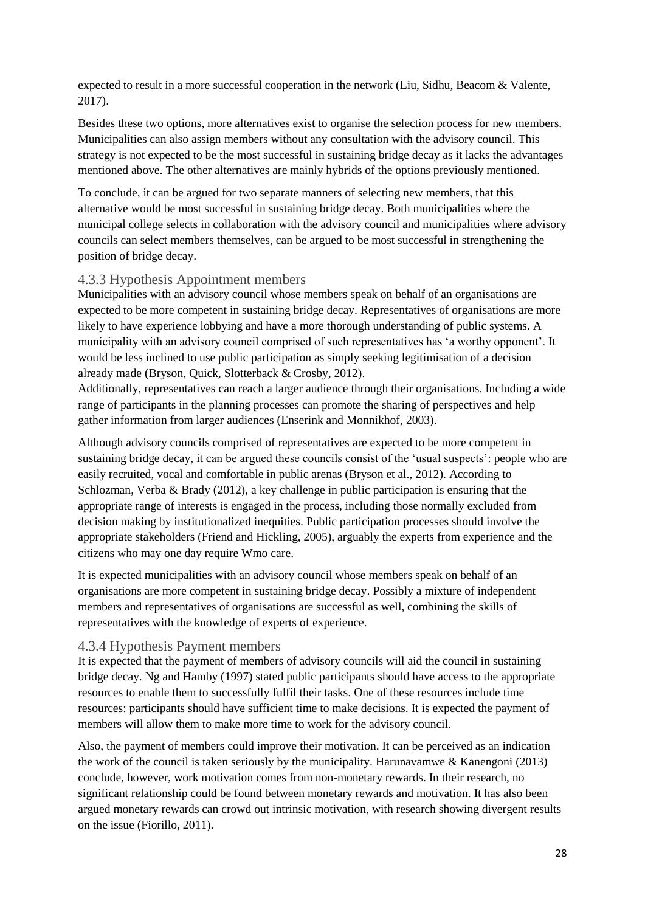expected to result in a more successful cooperation in the network (Liu, Sidhu, Beacom & Valente, 2017).

Besides these two options, more alternatives exist to organise the selection process for new members. Municipalities can also assign members without any consultation with the advisory council. This strategy is not expected to be the most successful in sustaining bridge decay as it lacks the advantages mentioned above. The other alternatives are mainly hybrids of the options previously mentioned.

To conclude, it can be argued for two separate manners of selecting new members, that this alternative would be most successful in sustaining bridge decay. Both municipalities where the municipal college selects in collaboration with the advisory council and municipalities where advisory councils can select members themselves, can be argued to be most successful in strengthening the position of bridge decay.

#### <span id="page-27-0"></span>4.3.3 Hypothesis Appointment members

Municipalities with an advisory council whose members speak on behalf of an organisations are expected to be more competent in sustaining bridge decay. Representatives of organisations are more likely to have experience lobbying and have a more thorough understanding of public systems. A municipality with an advisory council comprised of such representatives has 'a worthy opponent'. It would be less inclined to use public participation as simply seeking legitimisation of a decision already made (Bryson, Quick, Slotterback & Crosby, 2012).

Additionally, representatives can reach a larger audience through their organisations. Including a wide range of participants in the planning processes can promote the sharing of perspectives and help gather information from larger audiences (Enserink and Monnikhof, 2003).

Although advisory councils comprised of representatives are expected to be more competent in sustaining bridge decay, it can be argued these councils consist of the 'usual suspects': people who are easily recruited, vocal and comfortable in public arenas (Bryson et al., 2012). According to Schlozman, Verba & Brady (2012), a key challenge in public participation is ensuring that the appropriate range of interests is engaged in the process, including those normally excluded from decision making by institutionalized inequities. Public participation processes should involve the appropriate stakeholders (Friend and Hickling, 2005), arguably the experts from experience and the citizens who may one day require Wmo care.

It is expected municipalities with an advisory council whose members speak on behalf of an organisations are more competent in sustaining bridge decay. Possibly a mixture of independent members and representatives of organisations are successful as well, combining the skills of representatives with the knowledge of experts of experience.

#### <span id="page-27-1"></span>4.3.4 Hypothesis Payment members

It is expected that the payment of members of advisory councils will aid the council in sustaining bridge decay. Ng and Hamby (1997) stated public participants should have access to the appropriate resources to enable them to successfully fulfil their tasks. One of these resources include time resources: participants should have sufficient time to make decisions. It is expected the payment of members will allow them to make more time to work for the advisory council.

Also, the payment of members could improve their motivation. It can be perceived as an indication the work of the council is taken seriously by the municipality. Harunavamwe & Kanengoni (2013) conclude, however, work motivation comes from non-monetary rewards. In their research, no significant relationship could be found between monetary rewards and motivation. It has also been argued monetary rewards can crowd out intrinsic motivation, with research showing divergent results on the issue (Fiorillo, 2011).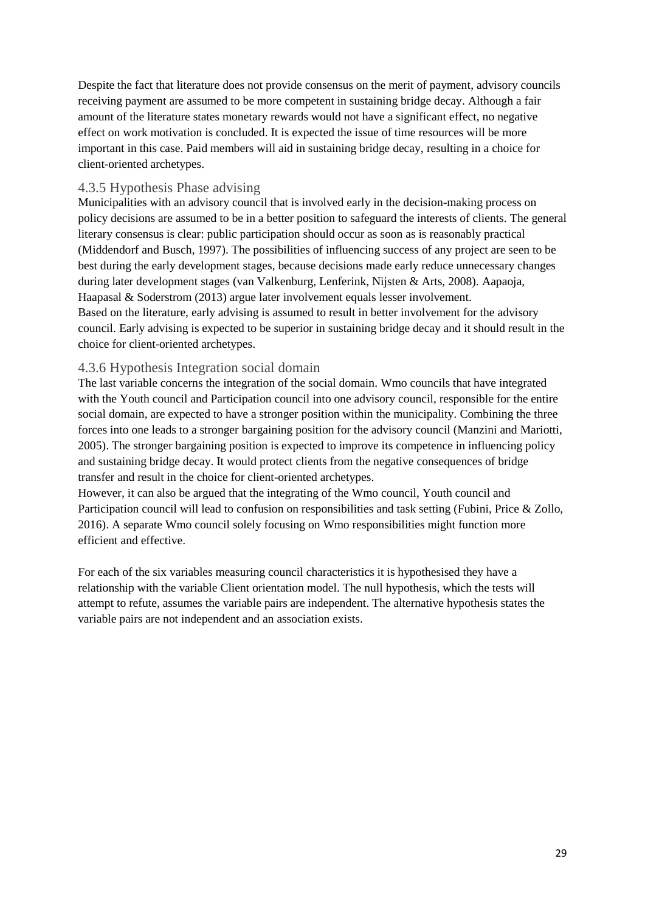Despite the fact that literature does not provide consensus on the merit of payment, advisory councils receiving payment are assumed to be more competent in sustaining bridge decay. Although a fair amount of the literature states monetary rewards would not have a significant effect, no negative effect on work motivation is concluded. It is expected the issue of time resources will be more important in this case. Paid members will aid in sustaining bridge decay, resulting in a choice for client-oriented archetypes.

#### <span id="page-28-0"></span>4.3.5 Hypothesis Phase advising

Municipalities with an advisory council that is involved early in the decision-making process on policy decisions are assumed to be in a better position to safeguard the interests of clients. The general literary consensus is clear: public participation should occur as soon as is reasonably practical (Middendorf and Busch, 1997). The possibilities of influencing success of any project are seen to be best during the early development stages, because decisions made early reduce unnecessary changes during later development stages (van Valkenburg, Lenferink, Nijsten & Arts, 2008). Aapaoja, Haapasal & Soderstrom (2013) argue later involvement equals lesser involvement. Based on the literature, early advising is assumed to result in better involvement for the advisory council. Early advising is expected to be superior in sustaining bridge decay and it should result in the choice for client-oriented archetypes.

#### <span id="page-28-1"></span>4.3.6 Hypothesis Integration social domain

The last variable concerns the integration of the social domain. Wmo councils that have integrated with the Youth council and Participation council into one advisory council, responsible for the entire social domain, are expected to have a stronger position within the municipality. Combining the three forces into one leads to a stronger bargaining position for the advisory council (Manzini and Mariotti, 2005). The stronger bargaining position is expected to improve its competence in influencing policy and sustaining bridge decay. It would protect clients from the negative consequences of bridge transfer and result in the choice for client-oriented archetypes.

However, it can also be argued that the integrating of the Wmo council, Youth council and Participation council will lead to confusion on responsibilities and task setting (Fubini, Price & Zollo, 2016). A separate Wmo council solely focusing on Wmo responsibilities might function more efficient and effective.

For each of the six variables measuring council characteristics it is hypothesised they have a relationship with the variable Client orientation model. The null hypothesis, which the tests will attempt to refute, assumes the variable pairs are independent. The alternative hypothesis states the variable pairs are not independent and an association exists.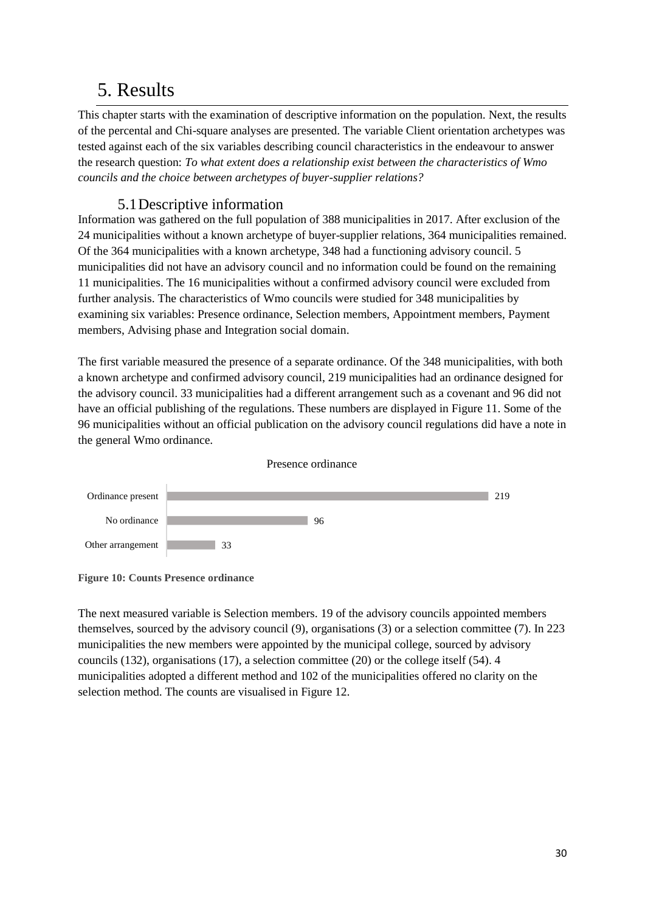### <span id="page-29-0"></span>5. Results

This chapter starts with the examination of descriptive information on the population. Next, the results of the percental and Chi-square analyses are presented. The variable Client orientation archetypes was tested against each of the six variables describing council characteristics in the endeavour to answer the research question: *To what extent does a relationship exist between the characteristics of Wmo councils and the choice between archetypes of buyer-supplier relations?*

#### 5.1Descriptive information

<span id="page-29-1"></span>Information was gathered on the full population of 388 municipalities in 2017. After exclusion of the 24 municipalities without a known archetype of buyer-supplier relations, 364 municipalities remained. Of the 364 municipalities with a known archetype, 348 had a functioning advisory council. 5 municipalities did not have an advisory council and no information could be found on the remaining 11 municipalities. The 16 municipalities without a confirmed advisory council were excluded from further analysis. The characteristics of Wmo councils were studied for 348 municipalities by examining six variables: Presence ordinance, Selection members, Appointment members, Payment members, Advising phase and Integration social domain.

The first variable measured the presence of a separate ordinance. Of the 348 municipalities, with both a known archetype and confirmed advisory council, 219 municipalities had an ordinance designed for the advisory council. 33 municipalities had a different arrangement such as a covenant and 96 did not have an official publishing of the regulations. These numbers are displayed in Figure 11. Some of the 96 municipalities without an official publication on the advisory council regulations did have a note in the general Wmo ordinance.



<span id="page-29-2"></span>

The next measured variable is Selection members. 19 of the advisory councils appointed members themselves, sourced by the advisory council (9), organisations (3) or a selection committee (7). In 223 municipalities the new members were appointed by the municipal college, sourced by advisory councils (132), organisations (17), a selection committee (20) or the college itself (54). 4 municipalities adopted a different method and 102 of the municipalities offered no clarity on the selection method. The counts are visualised in Figure 12.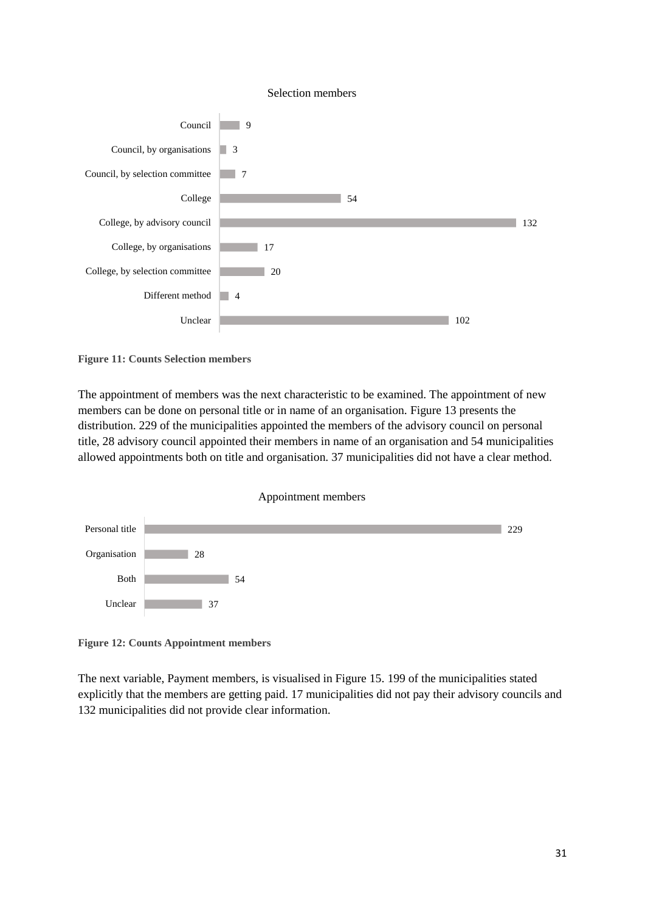

<span id="page-30-0"></span>**Figure 11: Counts Selection members**

The appointment of members was the next characteristic to be examined. The appointment of new members can be done on personal title or in name of an organisation. Figure 13 presents the distribution. 229 of the municipalities appointed the members of the advisory council on personal title, 28 advisory council appointed their members in name of an organisation and 54 municipalities allowed appointments both on title and organisation. 37 municipalities did not have a clear method.





<span id="page-30-1"></span>**Figure 12: Counts Appointment members**

The next variable, Payment members, is visualised in Figure 15. 199 of the municipalities stated explicitly that the members are getting paid. 17 municipalities did not pay their advisory councils and 132 municipalities did not provide clear information.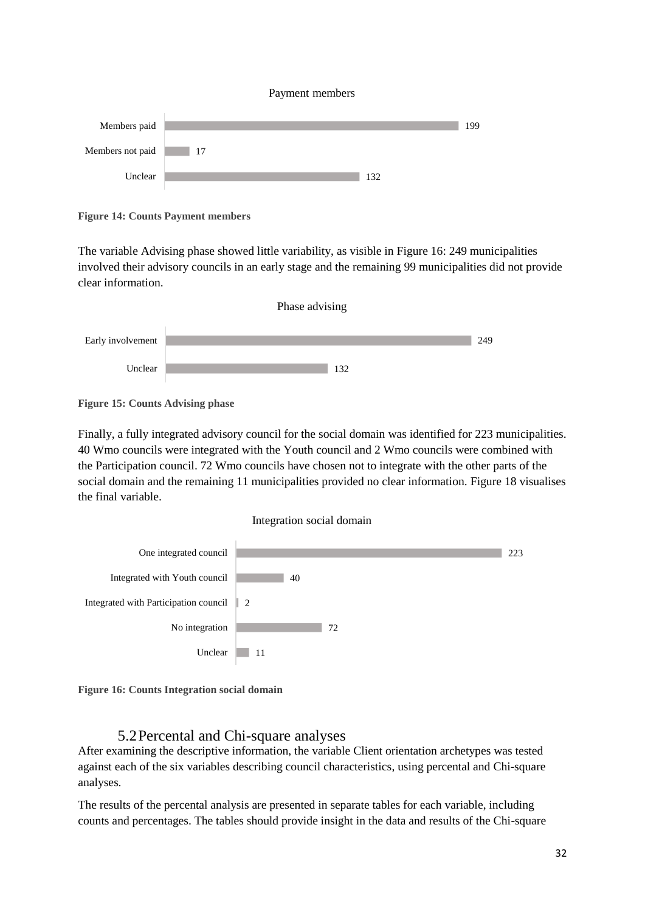#### Payment members



**Figure 14: Counts Payment members**

The variable Advising phase showed little variability, as visible in Figure 16: 249 municipalities involved their advisory councils in an early stage and the remaining 99 municipalities did not provide clear information.



**Figure 15: Counts Advising phase**

Finally, a fully integrated advisory council for the social domain was identified for 223 municipalities. 40 Wmo councils were integrated with the Youth council and 2 Wmo councils were combined with the Participation council. 72 Wmo councils have chosen not to integrate with the other parts of the social domain and the remaining 11 municipalities provided no clear information. Figure 18 visualises the final variable.

#### Integration social domain



**Figure 16: Counts Integration social domain**

#### 5.2Percental and Chi-square analyses

<span id="page-31-0"></span>After examining the descriptive information, the variable Client orientation archetypes was tested against each of the six variables describing council characteristics, using percental and Chi-square analyses.

The results of the percental analysis are presented in separate tables for each variable, including counts and percentages. The tables should provide insight in the data and results of the Chi-square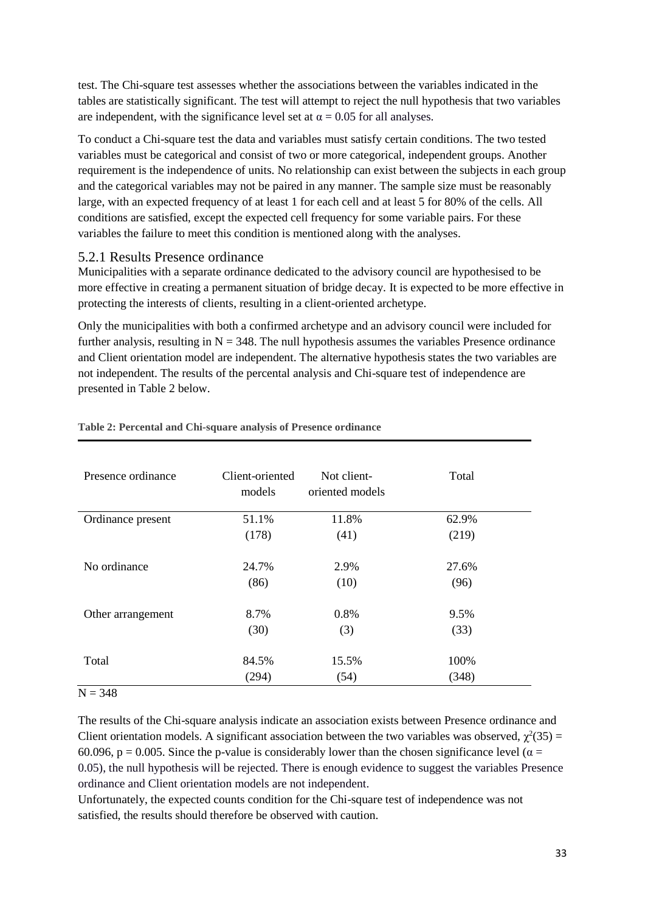test. The Chi-square test assesses whether the associations between the variables indicated in the tables are statistically significant. The test will attempt to reject the null hypothesis that two variables are independent, with the significance level set at  $\alpha = 0.05$  for all analyses.

To conduct a Chi-square test the data and variables must satisfy certain conditions. The two tested variables must be categorical and consist of two or more categorical, independent groups. Another requirement is the independence of units. No relationship can exist between the subjects in each group and the categorical variables may not be paired in any manner. The sample size must be reasonably large, with an expected frequency of at least 1 for each cell and at least 5 for 80% of the cells. All conditions are satisfied, except the expected cell frequency for some variable pairs. For these variables the failure to meet this condition is mentioned along with the analyses.

#### <span id="page-32-0"></span>5.2.1 Results Presence ordinance

Municipalities with a separate ordinance dedicated to the advisory council are hypothesised to be more effective in creating a permanent situation of bridge decay. It is expected to be more effective in protecting the interests of clients, resulting in a client-oriented archetype.

Only the municipalities with both a confirmed archetype and an advisory council were included for further analysis, resulting in  $N = 348$ . The null hypothesis assumes the variables Presence ordinance and Client orientation model are independent. The alternative hypothesis states the two variables are not independent. The results of the percental analysis and Chi-square test of independence are presented in Table 2 below.

| Presence ordinance | Client-oriented<br>models | Not client-<br>oriented models | Total |
|--------------------|---------------------------|--------------------------------|-------|
| Ordinance present  | 51.1%                     | 11.8%                          | 62.9% |
|                    | (178)                     | (41)                           | (219) |
| No ordinance       | 24.7%                     | 2.9%                           | 27.6% |
|                    | (86)                      | (10)                           | (96)  |
| Other arrangement  | 8.7%                      | 0.8%                           | 9.5%  |
|                    | (30)                      | (3)                            | (33)  |
| Total              | 84.5%                     | 15.5%                          | 100%  |
|                    | (294)                     | (54)                           | (348) |

#### <span id="page-32-1"></span>**Table 2: Percental and Chi-square analysis of Presence ordinance**

 $N = 348$ 

The results of the Chi-square analysis indicate an association exists between Presence ordinance and Client orientation models. A significant association between the two variables was observed,  $\chi^2(35)$  = 60.096, p = 0.005. Since the p-value is considerably lower than the chosen significance level ( $\alpha$  = 0.05), the null hypothesis will be rejected. There is enough evidence to suggest the variables Presence ordinance and Client orientation models are not independent.

Unfortunately, the expected counts condition for the Chi-square test of independence was not satisfied, the results should therefore be observed with caution.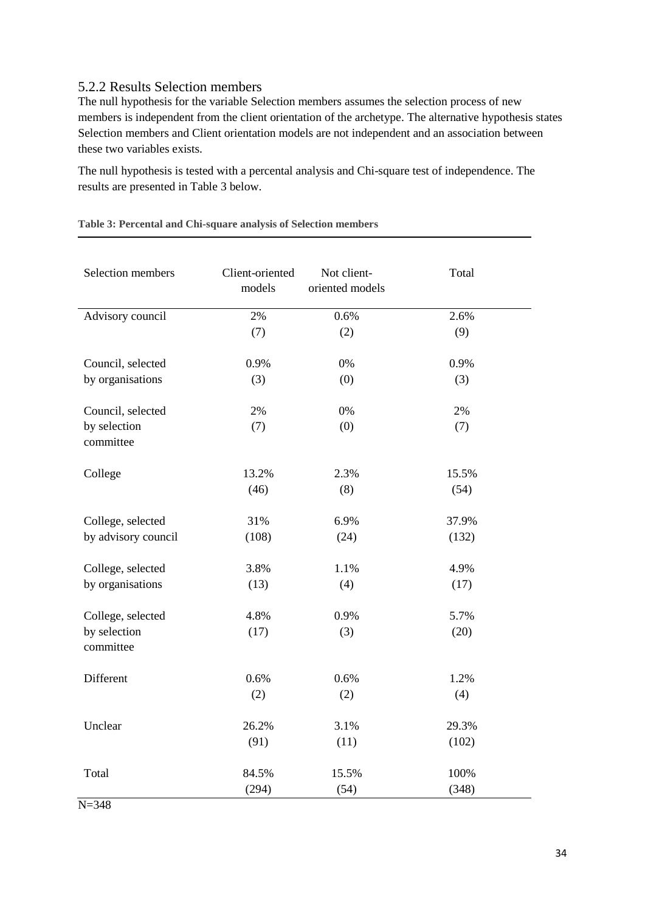#### <span id="page-33-0"></span>5.2.2 Results Selection members

The null hypothesis for the variable Selection members assumes the selection process of new members is independent from the client orientation of the archetype. The alternative hypothesis states Selection members and Client orientation models are not independent and an association between these two variables exists.

The null hypothesis is tested with a percental analysis and Chi-square test of independence. The results are presented in Table 3 below.

| Selection members         | Client-oriented<br>models | Not client-<br>oriented models | Total |
|---------------------------|---------------------------|--------------------------------|-------|
| Advisory council          | 2%                        | 0.6%                           | 2.6%  |
|                           | (7)                       | (2)                            | (9)   |
| Council, selected         | 0.9%                      | $0\%$                          | 0.9%  |
| by organisations          | (3)                       | (0)                            | (3)   |
| Council, selected         | 2%                        | 0%                             | 2%    |
| by selection<br>committee | (7)                       | (0)                            | (7)   |
| College                   | 13.2%                     | 2.3%                           | 15.5% |
|                           | (46)                      | (8)                            | (54)  |
| College, selected         | 31%                       | 6.9%                           | 37.9% |
| by advisory council       | (108)                     | (24)                           | (132) |
| College, selected         | 3.8%                      | 1.1%                           | 4.9%  |
| by organisations          | (13)                      | (4)                            | (17)  |
| College, selected         | 4.8%                      | 0.9%                           | 5.7%  |
| by selection<br>committee | (17)                      | (3)                            | (20)  |
| Different                 | 0.6%                      | 0.6%                           | 1.2%  |
|                           | (2)                       | (2)                            | (4)   |
| Unclear                   | 26.2%                     | 3.1%                           | 29.3% |
|                           | (91)                      | (11)                           | (102) |
| Total                     | 84.5%                     | 15.5%                          | 100%  |
|                           | (294)                     | (54)                           | (348) |

<span id="page-33-1"></span>**Table 3: Percental and Chi-square analysis of Selection members**

 $N = 348$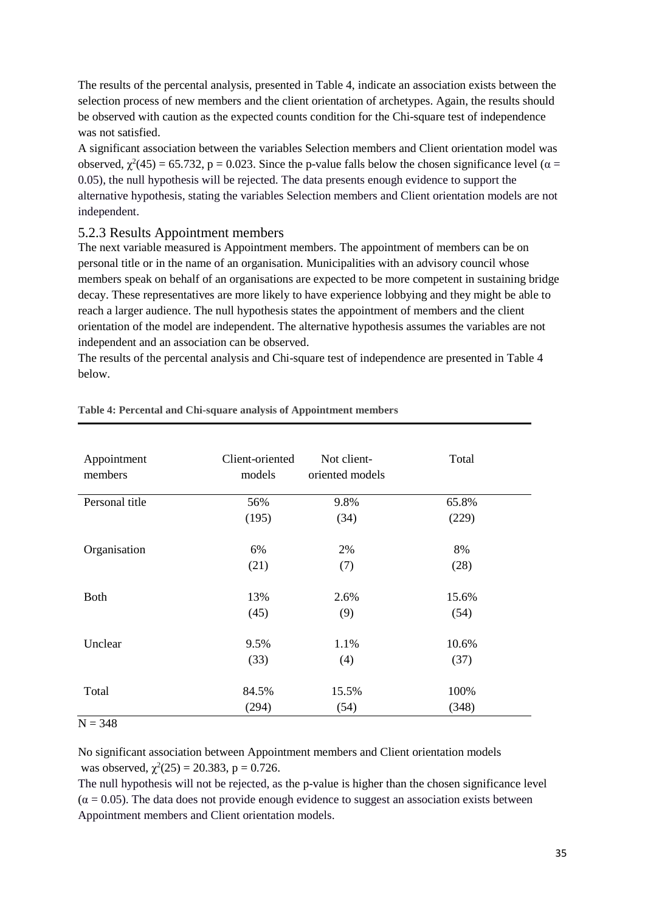The results of the percental analysis, presented in Table 4, indicate an association exists between the selection process of new members and the client orientation of archetypes. Again, the results should be observed with caution as the expected counts condition for the Chi-square test of independence was not satisfied.

A significant association between the variables Selection members and Client orientation model was observed,  $\chi^2(45) = 65.732$ , p = 0.023. Since the p-value falls below the chosen significance level ( $\alpha$  = 0.05), the null hypothesis will be rejected. The data presents enough evidence to support the alternative hypothesis, stating the variables Selection members and Client orientation models are not independent.

#### <span id="page-34-0"></span>5.2.3 Results Appointment members

The next variable measured is Appointment members. The appointment of members can be on personal title or in the name of an organisation. Municipalities with an advisory council whose members speak on behalf of an organisations are expected to be more competent in sustaining bridge decay. These representatives are more likely to have experience lobbying and they might be able to reach a larger audience. The null hypothesis states the appointment of members and the client orientation of the model are independent. The alternative hypothesis assumes the variables are not independent and an association can be observed.

The results of the percental analysis and Chi-square test of independence are presented in Table 4 below.

| Appointment<br>members | Client-oriented<br>models | Not client-<br>oriented models | Total |
|------------------------|---------------------------|--------------------------------|-------|
| Personal title         | 56%                       | 9.8%                           | 65.8% |
|                        | (195)                     | (34)                           | (229) |
|                        |                           |                                |       |
| Organisation           | 6%                        | 2%                             | 8%    |
|                        | (21)                      | (7)                            | (28)  |
|                        |                           |                                |       |
| <b>Both</b>            | 13%                       | 2.6%                           | 15.6% |
|                        | (45)                      | (9)                            | (54)  |
| Unclear                | 9.5%                      | 1.1%                           | 10.6% |
|                        | (33)                      | (4)                            | (37)  |
|                        |                           |                                |       |
| Total                  | 84.5%                     | 15.5%                          | 100%  |
|                        | (294)                     | (54)                           | (348) |

#### <span id="page-34-1"></span>**Table 4: Percental and Chi-square analysis of Appointment members**

 $N = 348$ 

No significant association between Appointment members and Client orientation models was observed,  $\chi^2(25) = 20.383$ , p = 0.726.

The null hypothesis will not be rejected, as the p-value is higher than the chosen significance level  $(\alpha = 0.05)$ . The data does not provide enough evidence to suggest an association exists between Appointment members and Client orientation models.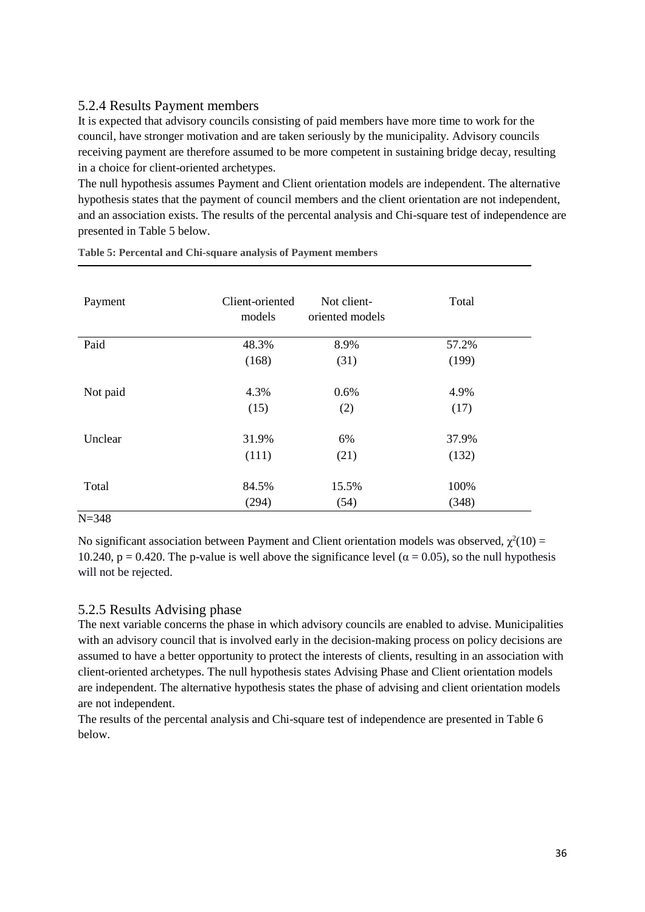#### <span id="page-35-0"></span>5.2.4 Results Payment members

It is expected that advisory councils consisting of paid members have more time to work for the council, have stronger motivation and are taken seriously by the municipality. Advisory councils receiving payment are therefore assumed to be more competent in sustaining bridge decay, resulting in a choice for client-oriented archetypes.

The null hypothesis assumes Payment and Client orientation models are independent. The alternative hypothesis states that the payment of council members and the client orientation are not independent, and an association exists. The results of the percental analysis and Chi-square test of independence are presented in Table 5 below.

| Payment  | Client-oriented<br>models | Not client-<br>oriented models | Total |
|----------|---------------------------|--------------------------------|-------|
| Paid     | 48.3%                     | 8.9%                           | 57.2% |
|          | (168)                     | (31)                           | (199) |
| Not paid | 4.3%                      | 0.6%                           | 4.9%  |
|          | (15)                      | (2)                            | (17)  |
| Unclear  | 31.9%                     | 6%                             | 37.9% |
|          | (111)                     | (21)                           | (132) |
| Total    | 84.5%                     | 15.5%                          | 100%  |
|          | (294)                     | (54)                           | (348) |

<span id="page-35-2"></span>**Table 5: Percental and Chi-square analysis of Payment members**

#### N=348

No significant association between Payment and Client orientation models was observed,  $\chi^2(10)$  = 10.240, p = 0.420. The p-value is well above the significance level ( $\alpha$  = 0.05), so the null hypothesis will not be rejected.

#### <span id="page-35-1"></span>5.2.5 Results Advising phase

The next variable concerns the phase in which advisory councils are enabled to advise. Municipalities with an advisory council that is involved early in the decision-making process on policy decisions are assumed to have a better opportunity to protect the interests of clients, resulting in an association with client-oriented archetypes. The null hypothesis states Advising Phase and Client orientation models are independent. The alternative hypothesis states the phase of advising and client orientation models are not independent.

The results of the percental analysis and Chi-square test of independence are presented in Table 6 below.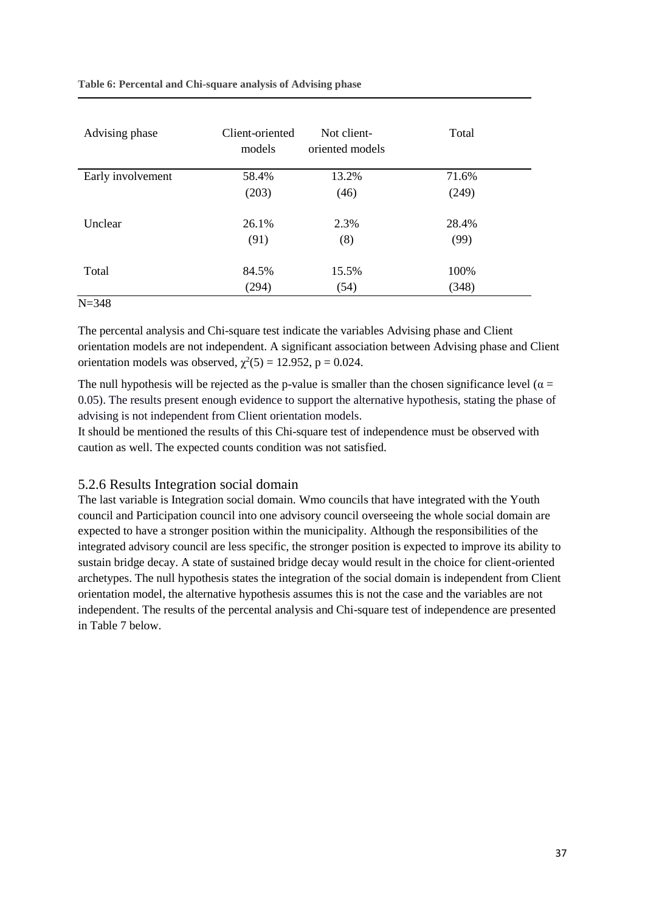<span id="page-36-1"></span>**Table 6: Percental and Chi-square analysis of Advising phase**

| Advising phase    | Client-oriented<br>models | Not client-<br>oriented models | Total |
|-------------------|---------------------------|--------------------------------|-------|
| Early involvement | 58.4%                     | 13.2%                          | 71.6% |
|                   | (203)                     | (46)                           | (249) |
| Unclear           | 26.1%                     | 2.3%                           | 28.4% |
|                   | (91)                      | (8)                            | (99)  |
| Total             | 84.5%                     | 15.5%                          | 100%  |
| $- - - - -$       | (294)                     | (54)                           | (348) |

N=348

The percental analysis and Chi-square test indicate the variables Advising phase and Client orientation models are not independent. A significant association between Advising phase and Client orientation models was observed,  $\chi^2(5) = 12.952$ , p = 0.024.

The null hypothesis will be rejected as the p-value is smaller than the chosen significance level ( $\alpha$  = 0.05). The results present enough evidence to support the alternative hypothesis, stating the phase of advising is not independent from Client orientation models.

It should be mentioned the results of this Chi-square test of independence must be observed with caution as well. The expected counts condition was not satisfied.

#### <span id="page-36-0"></span>5.2.6 Results Integration social domain

The last variable is Integration social domain. Wmo councils that have integrated with the Youth council and Participation council into one advisory council overseeing the whole social domain are expected to have a stronger position within the municipality*.* Although the responsibilities of the integrated advisory council are less specific, the stronger position is expected to improve its ability to sustain bridge decay. A state of sustained bridge decay would result in the choice for client-oriented archetypes. The null hypothesis states the integration of the social domain is independent from Client orientation model, the alternative hypothesis assumes this is not the case and the variables are not independent. The results of the percental analysis and Chi-square test of independence are presented in Table 7 below.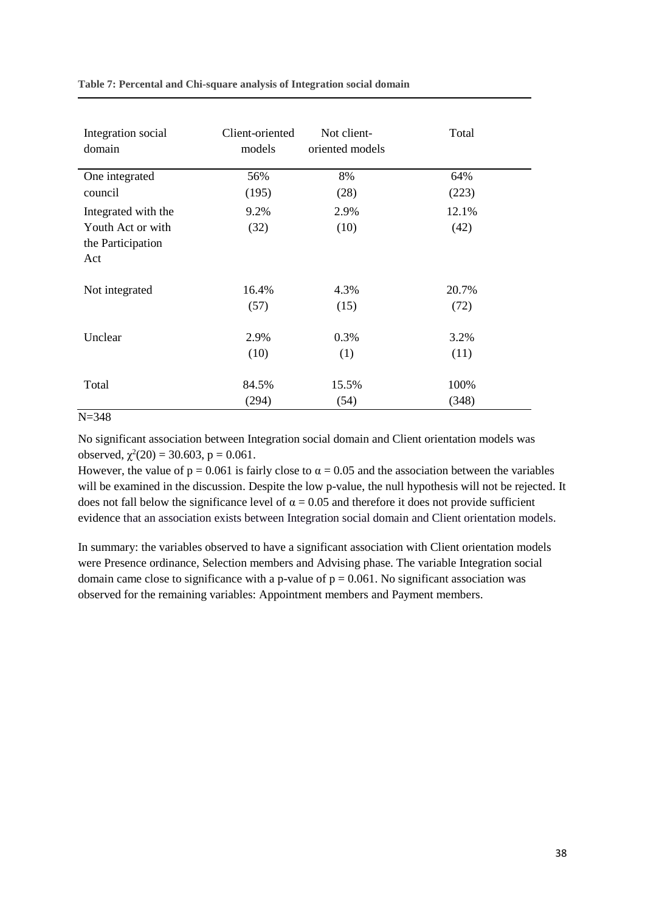<span id="page-37-0"></span>

|  | Table 7: Percental and Chi-square analysis of Integration social domain |  |  |  |
|--|-------------------------------------------------------------------------|--|--|--|
|--|-------------------------------------------------------------------------|--|--|--|

| Integration social                                                   | Client-oriented | Not client-     | Total         |
|----------------------------------------------------------------------|-----------------|-----------------|---------------|
| domain                                                               | models          | oriented models |               |
| One integrated                                                       | 56%             | 8%              | 64%           |
| council                                                              | (195)           | (28)            | (223)         |
| Integrated with the<br>Youth Act or with<br>the Participation<br>Act | 9.2%<br>(32)    | 2.9%<br>(10)    | 12.1%<br>(42) |
| Not integrated                                                       | 16.4%           | 4.3%            | 20.7%         |
|                                                                      | (57)            | (15)            | (72)          |
| Unclear                                                              | 2.9%            | 0.3%            | 3.2%          |
|                                                                      | (10)            | (1)             | (11)          |
| Total                                                                | 84.5%           | 15.5%           | 100%          |
| $N = 348$                                                            | (294)           | (54)            | (348)         |

No significant association between Integration social domain and Client orientation models was observed,  $\chi^2(20) = 30.603$ , p = 0.061.

However, the value of  $p = 0.061$  is fairly close to  $\alpha = 0.05$  and the association between the variables will be examined in the discussion. Despite the low p-value, the null hypothesis will not be rejected. It does not fall below the significance level of  $\alpha = 0.05$  and therefore it does not provide sufficient evidence that an association exists between Integration social domain and Client orientation models.

In summary: the variables observed to have a significant association with Client orientation models were Presence ordinance, Selection members and Advising phase. The variable Integration social domain came close to significance with a p-value of  $p = 0.061$ . No significant association was observed for the remaining variables: Appointment members and Payment members.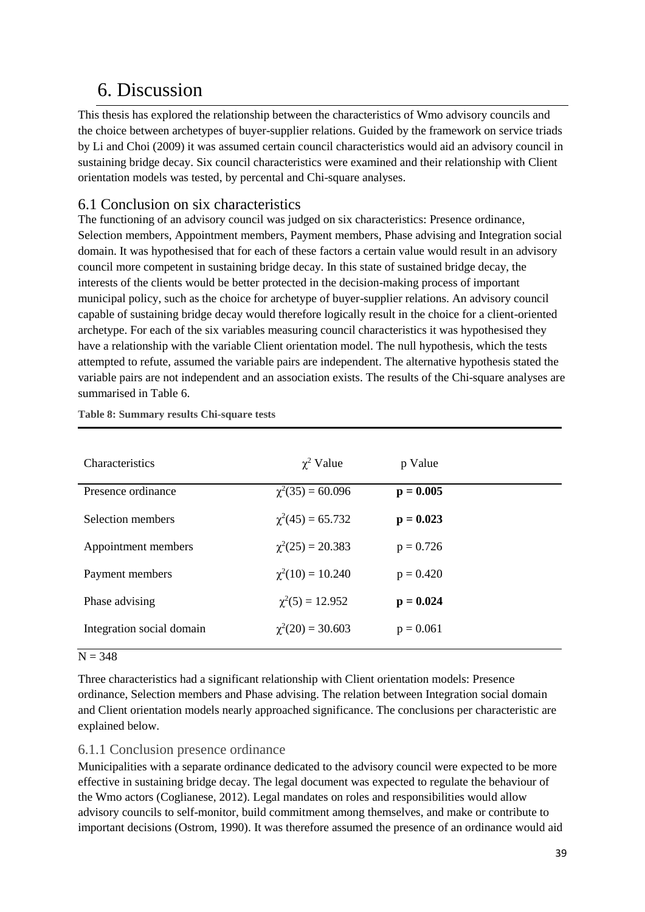### <span id="page-38-0"></span>6. Discussion

This thesis has explored the relationship between the characteristics of Wmo advisory councils and the choice between archetypes of buyer-supplier relations. Guided by the framework on service triads by Li and Choi (2009) it was assumed certain council characteristics would aid an advisory council in sustaining bridge decay. Six council characteristics were examined and their relationship with Client orientation models was tested, by percental and Chi-square analyses.

#### <span id="page-38-1"></span>6.1 Conclusion on six characteristics

The functioning of an advisory council was judged on six characteristics: Presence ordinance, Selection members, Appointment members, Payment members, Phase advising and Integration social domain. It was hypothesised that for each of these factors a certain value would result in an advisory council more competent in sustaining bridge decay. In this state of sustained bridge decay, the interests of the clients would be better protected in the decision-making process of important municipal policy, such as the choice for archetype of buyer-supplier relations. An advisory council capable of sustaining bridge decay would therefore logically result in the choice for a client-oriented archetype. For each of the six variables measuring council characteristics it was hypothesised they have a relationship with the variable Client orientation model. The null hypothesis, which the tests attempted to refute, assumed the variable pairs are independent. The alternative hypothesis stated the variable pairs are not independent and an association exists. The results of the Chi-square analyses are summarised in Table 6.

| <b>Characteristics</b>    | $\chi^2$ Value        | p Value     |
|---------------------------|-----------------------|-------------|
| Presence ordinance        | $\chi^2(35) = 60.096$ | $p = 0.005$ |
| Selection members         | $\chi^2(45) = 65.732$ | $p = 0.023$ |
| Appointment members       | $\chi^2(25) = 20.383$ | $p = 0.726$ |
| Payment members           | $\chi^2(10) = 10.240$ | $p = 0.420$ |
| Phase advising            | $\chi^2(5) = 12.952$  | $p = 0.024$ |
| Integration social domain | $\chi^2(20) = 30.603$ | $p = 0.061$ |

<span id="page-38-3"></span>**Table 8: Summary results Chi-square tests**

#### $N = 348$

Three characteristics had a significant relationship with Client orientation models: Presence ordinance, Selection members and Phase advising. The relation between Integration social domain and Client orientation models nearly approached significance. The conclusions per characteristic are explained below.

#### <span id="page-38-2"></span>6.1.1 Conclusion presence ordinance

Municipalities with a separate ordinance dedicated to the advisory council were expected to be more effective in sustaining bridge decay. The legal document was expected to regulate the behaviour of the Wmo actors (Coglianese, 2012). Legal mandates on roles and responsibilities would allow advisory councils to self-monitor, build commitment among themselves, and make or contribute to important decisions (Ostrom, 1990). It was therefore assumed the presence of an ordinance would aid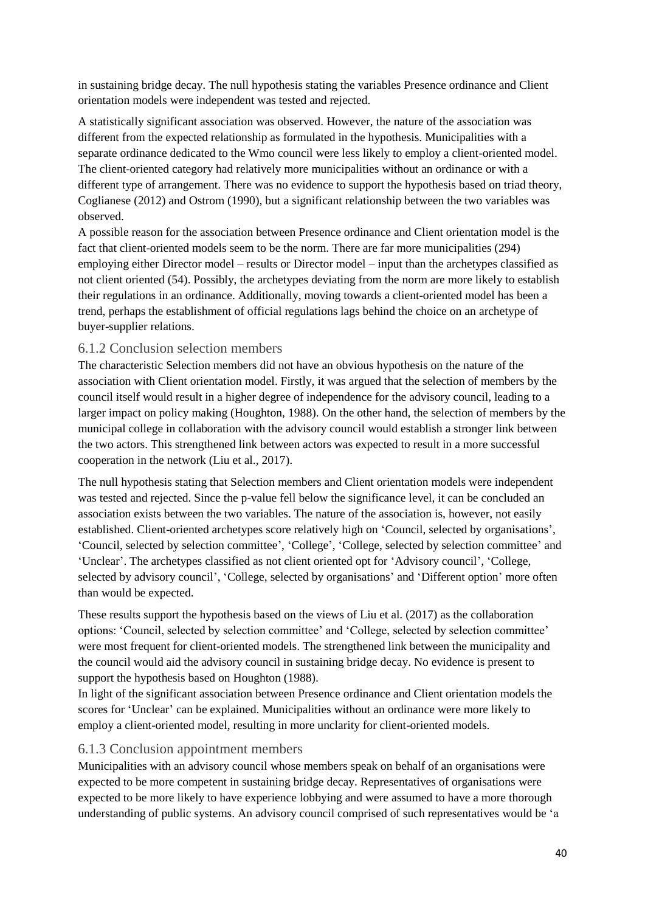in sustaining bridge decay. The null hypothesis stating the variables Presence ordinance and Client orientation models were independent was tested and rejected.

A statistically significant association was observed. However, the nature of the association was different from the expected relationship as formulated in the hypothesis. Municipalities with a separate ordinance dedicated to the Wmo council were less likely to employ a client-oriented model. The client-oriented category had relatively more municipalities without an ordinance or with a different type of arrangement. There was no evidence to support the hypothesis based on triad theory, Coglianese (2012) and Ostrom (1990), but a significant relationship between the two variables was observed.

A possible reason for the association between Presence ordinance and Client orientation model is the fact that client-oriented models seem to be the norm. There are far more municipalities (294) employing either Director model – results or Director model – input than the archetypes classified as not client oriented (54). Possibly, the archetypes deviating from the norm are more likely to establish their regulations in an ordinance. Additionally, moving towards a client-oriented model has been a trend, perhaps the establishment of official regulations lags behind the choice on an archetype of buyer-supplier relations.

#### <span id="page-39-0"></span>6.1.2 Conclusion selection members

The characteristic Selection members did not have an obvious hypothesis on the nature of the association with Client orientation model. Firstly, it was argued that the selection of members by the council itself would result in a higher degree of independence for the advisory council, leading to a larger impact on policy making (Houghton, 1988). On the other hand, the selection of members by the municipal college in collaboration with the advisory council would establish a stronger link between the two actors. This strengthened link between actors was expected to result in a more successful cooperation in the network (Liu et al., 2017).

The null hypothesis stating that Selection members and Client orientation models were independent was tested and rejected. Since the p-value fell below the significance level, it can be concluded an association exists between the two variables. The nature of the association is, however, not easily established. Client-oriented archetypes score relatively high on 'Council, selected by organisations', 'Council, selected by selection committee', 'College', 'College, selected by selection committee' and 'Unclear'. The archetypes classified as not client oriented opt for 'Advisory council', 'College, selected by advisory council', 'College, selected by organisations' and 'Different option' more often than would be expected.

These results support the hypothesis based on the views of Liu et al. (2017) as the collaboration options: 'Council, selected by selection committee' and 'College, selected by selection committee' were most frequent for client-oriented models. The strengthened link between the municipality and the council would aid the advisory council in sustaining bridge decay. No evidence is present to support the hypothesis based on Houghton (1988).

In light of the significant association between Presence ordinance and Client orientation models the scores for 'Unclear' can be explained. Municipalities without an ordinance were more likely to employ a client-oriented model, resulting in more unclarity for client-oriented models.

#### <span id="page-39-1"></span>6.1.3 Conclusion appointment members

Municipalities with an advisory council whose members speak on behalf of an organisations were expected to be more competent in sustaining bridge decay. Representatives of organisations were expected to be more likely to have experience lobbying and were assumed to have a more thorough understanding of public systems. An advisory council comprised of such representatives would be 'a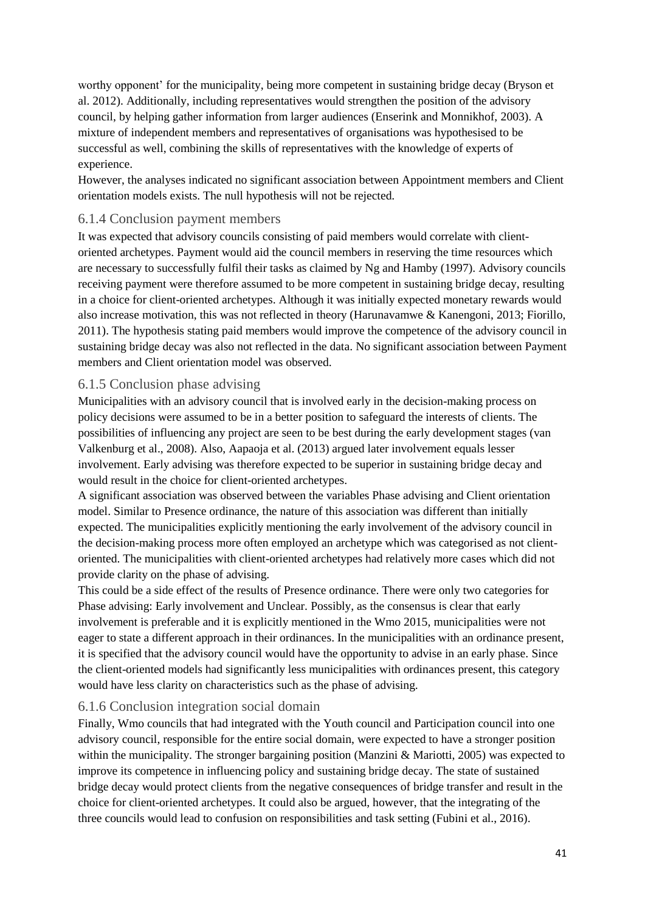worthy opponent' for the municipality, being more competent in sustaining bridge decay (Bryson et al. 2012). Additionally, including representatives would strengthen the position of the advisory council, by helping gather information from larger audiences (Enserink and Monnikhof, 2003). A mixture of independent members and representatives of organisations was hypothesised to be successful as well, combining the skills of representatives with the knowledge of experts of experience.

However, the analyses indicated no significant association between Appointment members and Client orientation models exists. The null hypothesis will not be rejected.

#### <span id="page-40-0"></span>6.1.4 Conclusion payment members

It was expected that advisory councils consisting of paid members would correlate with clientoriented archetypes. Payment would aid the council members in reserving the time resources which are necessary to successfully fulfil their tasks as claimed by Ng and Hamby (1997). Advisory councils receiving payment were therefore assumed to be more competent in sustaining bridge decay, resulting in a choice for client-oriented archetypes. Although it was initially expected monetary rewards would also increase motivation, this was not reflected in theory (Harunavamwe & Kanengoni, 2013; Fiorillo, 2011). The hypothesis stating paid members would improve the competence of the advisory council in sustaining bridge decay was also not reflected in the data. No significant association between Payment members and Client orientation model was observed.

#### <span id="page-40-1"></span>6.1.5 Conclusion phase advising

Municipalities with an advisory council that is involved early in the decision-making process on policy decisions were assumed to be in a better position to safeguard the interests of clients. The possibilities of influencing any project are seen to be best during the early development stages (van Valkenburg et al., 2008). Also, Aapaoja et al. (2013) argued later involvement equals lesser involvement. Early advising was therefore expected to be superior in sustaining bridge decay and would result in the choice for client-oriented archetypes.

A significant association was observed between the variables Phase advising and Client orientation model. Similar to Presence ordinance, the nature of this association was different than initially expected. The municipalities explicitly mentioning the early involvement of the advisory council in the decision-making process more often employed an archetype which was categorised as not clientoriented. The municipalities with client-oriented archetypes had relatively more cases which did not provide clarity on the phase of advising.

This could be a side effect of the results of Presence ordinance. There were only two categories for Phase advising: Early involvement and Unclear. Possibly, as the consensus is clear that early involvement is preferable and it is explicitly mentioned in the Wmo 2015, municipalities were not eager to state a different approach in their ordinances. In the municipalities with an ordinance present, it is specified that the advisory council would have the opportunity to advise in an early phase. Since the client-oriented models had significantly less municipalities with ordinances present, this category would have less clarity on characteristics such as the phase of advising.

#### <span id="page-40-2"></span>6.1.6 Conclusion integration social domain

Finally, Wmo councils that had integrated with the Youth council and Participation council into one advisory council, responsible for the entire social domain, were expected to have a stronger position within the municipality. The stronger bargaining position (Manzini & Mariotti, 2005) was expected to improve its competence in influencing policy and sustaining bridge decay. The state of sustained bridge decay would protect clients from the negative consequences of bridge transfer and result in the choice for client-oriented archetypes. It could also be argued, however, that the integrating of the three councils would lead to confusion on responsibilities and task setting (Fubini et al., 2016).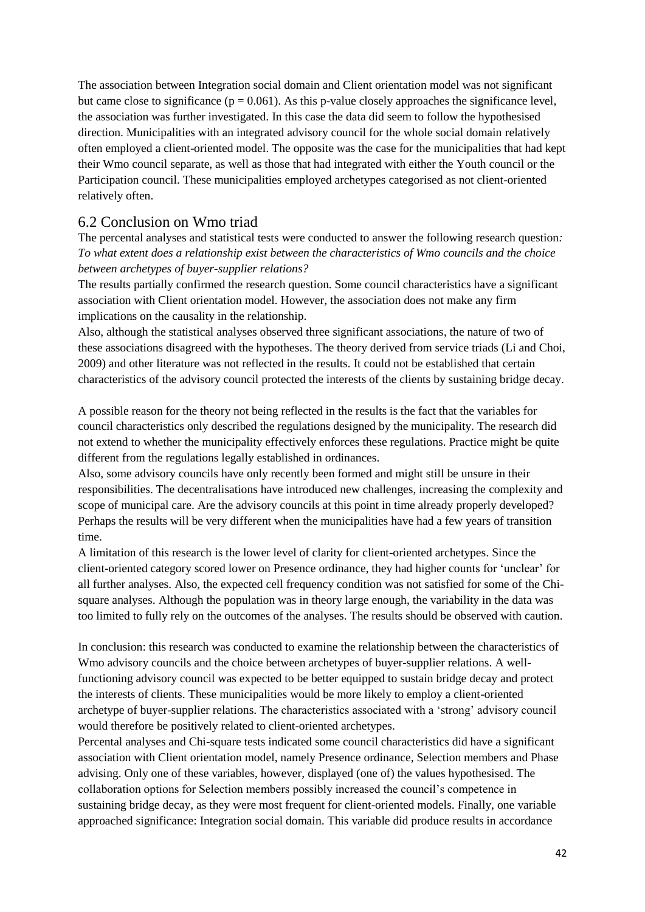The association between Integration social domain and Client orientation model was not significant but came close to significance ( $p = 0.061$ ). As this p-value closely approaches the significance level, the association was further investigated. In this case the data did seem to follow the hypothesised direction. Municipalities with an integrated advisory council for the whole social domain relatively often employed a client-oriented model. The opposite was the case for the municipalities that had kept their Wmo council separate, as well as those that had integrated with either the Youth council or the Participation council. These municipalities employed archetypes categorised as not client-oriented relatively often.

#### <span id="page-41-0"></span>6.2 Conclusion on Wmo triad

The percental analyses and statistical tests were conducted to answer the following research question*: To what extent does a relationship exist between the characteristics of Wmo councils and the choice between archetypes of buyer-supplier relations?*

The results partially confirmed the research question. Some council characteristics have a significant association with Client orientation model. However, the association does not make any firm implications on the causality in the relationship.

Also, although the statistical analyses observed three significant associations, the nature of two of these associations disagreed with the hypotheses. The theory derived from service triads (Li and Choi, 2009) and other literature was not reflected in the results*.* It could not be established that certain characteristics of the advisory council protected the interests of the clients by sustaining bridge decay.

A possible reason for the theory not being reflected in the results is the fact that the variables for council characteristics only described the regulations designed by the municipality. The research did not extend to whether the municipality effectively enforces these regulations. Practice might be quite different from the regulations legally established in ordinances.

Also, some advisory councils have only recently been formed and might still be unsure in their responsibilities. The decentralisations have introduced new challenges, increasing the complexity and scope of municipal care. Are the advisory councils at this point in time already properly developed? Perhaps the results will be very different when the municipalities have had a few years of transition time.

A limitation of this research is the lower level of clarity for client-oriented archetypes. Since the client-oriented category scored lower on Presence ordinance, they had higher counts for 'unclear' for all further analyses. Also, the expected cell frequency condition was not satisfied for some of the Chisquare analyses. Although the population was in theory large enough, the variability in the data was too limited to fully rely on the outcomes of the analyses. The results should be observed with caution.

In conclusion: this research was conducted to examine the relationship between the characteristics of Wmo advisory councils and the choice between archetypes of buyer-supplier relations. A wellfunctioning advisory council was expected to be better equipped to sustain bridge decay and protect the interests of clients. These municipalities would be more likely to employ a client-oriented archetype of buyer-supplier relations. The characteristics associated with a 'strong' advisory council would therefore be positively related to client-oriented archetypes.

Percental analyses and Chi-square tests indicated some council characteristics did have a significant association with Client orientation model, namely Presence ordinance, Selection members and Phase advising. Only one of these variables, however, displayed (one of) the values hypothesised. The collaboration options for Selection members possibly increased the council's competence in sustaining bridge decay, as they were most frequent for client-oriented models. Finally, one variable approached significance: Integration social domain. This variable did produce results in accordance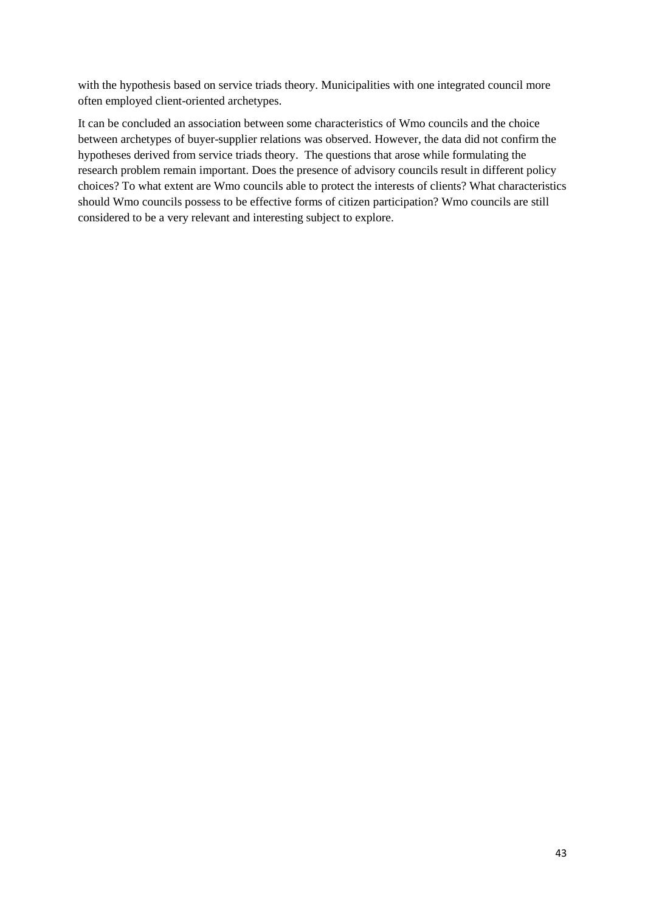with the hypothesis based on service triads theory. Municipalities with one integrated council more often employed client-oriented archetypes.

It can be concluded an association between some characteristics of Wmo councils and the choice between archetypes of buyer-supplier relations was observed. However, the data did not confirm the hypotheses derived from service triads theory. The questions that arose while formulating the research problem remain important. Does the presence of advisory councils result in different policy choices? To what extent are Wmo councils able to protect the interests of clients? What characteristics should Wmo councils possess to be effective forms of citizen participation? Wmo councils are still considered to be a very relevant and interesting subject to explore.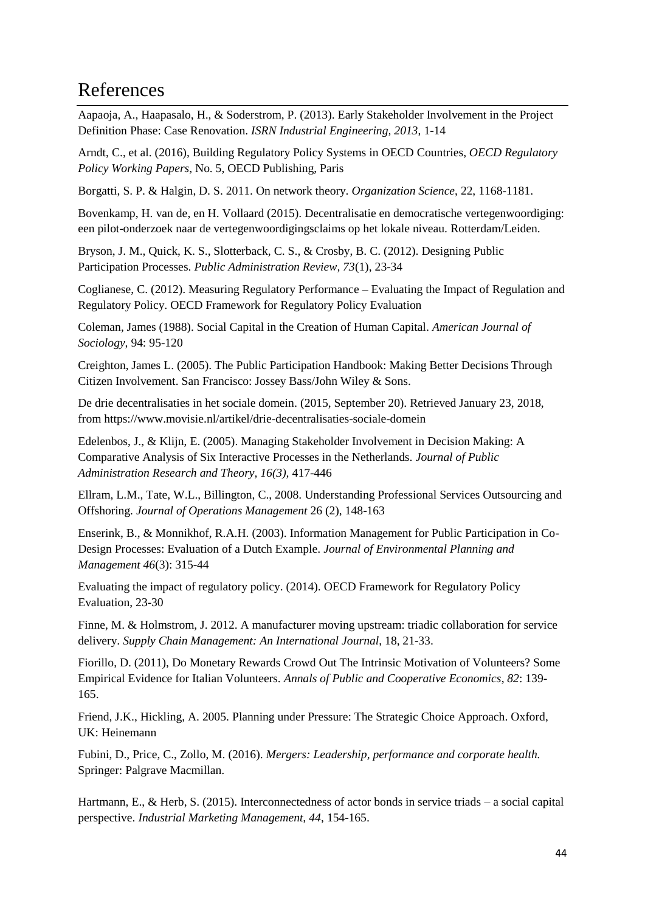### <span id="page-43-0"></span>References

Aapaoja, A., Haapasalo, H., & Soderstrom, P. (2013). Early Stakeholder Involvement in the Project Definition Phase: Case Renovation. *ISRN Industrial Engineering, 2013*, 1-14

Arndt, C., et al. (2016), Building Regulatory Policy Systems in OECD Countries, *OECD Regulatory Policy Working Papers*, No. 5, OECD Publishing, Paris

Borgatti, S. P. & Halgin, D. S. 2011. On network theory. *Organization Science*, 22, 1168-1181.

Bovenkamp, H. van de, en H. Vollaard (2015). Decentralisatie en democratische vertegenwoordiging: een pilot-onderzoek naar de vertegenwoordigingsclaims op het lokale niveau. Rotterdam/Leiden.

Bryson, J. M., Quick, K. S., Slotterback, C. S., & Crosby, B. C. (2012). Designing Public Participation Processes. *Public Administration Review, 73*(1), 23-34

Coglianese, C. (2012). Measuring Regulatory Performance – Evaluating the Impact of Regulation and Regulatory Policy. OECD Framework for Regulatory Policy Evaluation

Coleman, James (1988). Social Capital in the Creation of Human Capital. *American Journal of Sociology,* 94: 95-120

Creighton, James L. (2005). The Public Participation Handbook: Making Better Decisions Through Citizen Involvement. San Francisco: Jossey Bass/John Wiley & Sons.

De drie decentralisaties in het sociale domein. (2015, September 20). Retrieved January 23, 2018, from<https://www.movisie.nl/artikel/drie-decentralisaties-sociale-domein>

Edelenbos, J., & Klijn, E. (2005). Managing Stakeholder Involvement in Decision Making: A Comparative Analysis of Six Interactive Processes in the Netherlands. *Journal of Public Administration Research and Theory, 16(3),* 417-446

Ellram, L.M., Tate, W.L., Billington, C., 2008. Understanding Professional Services Outsourcing and Offshoring. *Journal of Operations Management* 26 (2), 148-163

Enserink, B., & Monnikhof, R.A.H. (2003). Information Management for Public Participation in Co-Design Processes: Evaluation of a Dutch Example. *Journal of Environmental Planning and Management 46*(3): 315-44

Evaluating the impact of regulatory policy. (2014). OECD Framework for Regulatory Policy Evaluation, 23-30

Finne, M. & Holmstrom, J. 2012. A manufacturer moving upstream: triadic collaboration for service delivery. *Supply Chain Management: An International Journal*, 18, 21-33.

Fiorillo, D. (2011), Do Monetary Rewards Crowd Out The Intrinsic Motivation of Volunteers? Some Empirical Evidence for Italian Volunteers. *Annals of Public and Cooperative Economics*, *82*: 139- 165.

Friend, J.K., Hickling, A. 2005. Planning under Pressure: The Strategic Choice Approach. Oxford, UK: Heinemann

Fubini, D., Price, C., Zollo, M. (2016). *Mergers: Leadership, performance and corporate health.* Springer: Palgrave Macmillan.

Hartmann, E., & Herb, S. (2015). Interconnectedness of actor bonds in service triads – a social capital perspective. *Industrial Marketing Management, 44*, 154-165.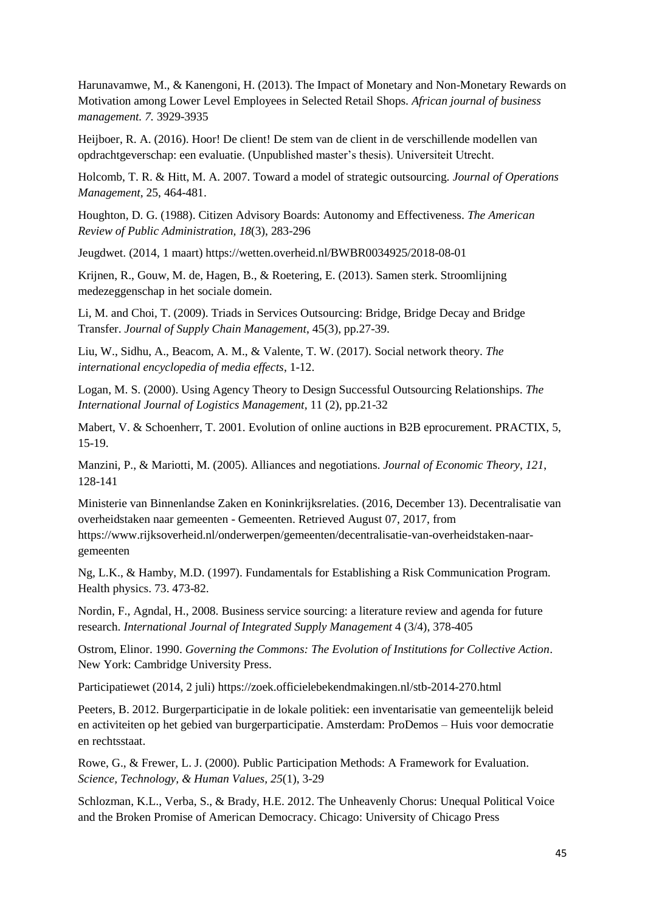Harunavamwe, M., & Kanengoni, H. (2013). The Impact of Monetary and Non-Monetary Rewards on Motivation among Lower Level Employees in Selected Retail Shops*. African journal of business management. 7.* 3929-3935

Heijboer, R. A. (2016). Hoor! De client! De stem van de client in de verschillende modellen van opdrachtgeverschap: een evaluatie. (Unpublished master's thesis). Universiteit Utrecht.

Holcomb, T. R. & Hitt, M. A. 2007. Toward a model of strategic outsourcing. *Journal of Operations Management*, 25, 464-481.

Houghton, D. G. (1988). Citizen Advisory Boards: Autonomy and Effectiveness. *The American Review of Public Administration, 18*(3), 283-296

Jeugdwet. (2014, 1 maart) https://wetten.overheid.nl/BWBR0034925/2018-08-01

Krijnen, R., Gouw, M. de, Hagen, B., & Roetering, E. (2013). Samen sterk. Stroomlijning medezeggenschap in het sociale domein.

Li, M. and Choi, T. (2009). Triads in Services Outsourcing: Bridge, Bridge Decay and Bridge Transfer. *Journal of Supply Chain Management*, 45(3), pp.27-39.

Liu, W., Sidhu, A., Beacom, A. M., & Valente, T. W. (2017). Social network theory. *The international encyclopedia of media effects*, 1-12.

Logan, M. S. (2000). Using Agency Theory to Design Successful Outsourcing Relationships. *The International Journal of Logistics Management,* 11 (2), pp.21-32

Mabert, V. & Schoenherr, T. 2001. Evolution of online auctions in B2B eprocurement. PRACTIX, 5, 15-19.

Manzini, P., & Mariotti, M. (2005). Alliances and negotiations. *Journal of Economic Theory, 121*, 128-141

Ministerie van Binnenlandse Zaken en Koninkrijksrelaties. (2016, December 13). Decentralisatie van overheidstaken naar gemeenten - Gemeenten. Retrieved August 07, 2017, from https://www.rijksoverheid.nl/onderwerpen/gemeenten/decentralisatie-van-overheidstaken-naargemeenten

Ng, L.K., & Hamby, M.D. (1997). Fundamentals for Establishing a Risk Communication Program. Health physics. 73. 473-82.

Nordin, F., Agndal, H., 2008. Business service sourcing: a literature review and agenda for future research. *International Journal of Integrated Supply Management* 4 (3/4), 378-405

Ostrom, Elinor. 1990. *Governing the Commons: The Evolution of Institutions for Collective Action*. New York: Cambridge University Press.

Participatiewet (2014, 2 juli) https://zoek.officielebekendmakingen.nl/stb-2014-270.html

Peeters, B. 2012. Burgerparticipatie in de lokale politiek: een inventarisatie van gemeentelijk beleid en activiteiten op het gebied van burgerparticipatie. Amsterdam: ProDemos – Huis voor democratie en rechtsstaat.

Rowe, G., & Frewer, L. J. (2000). Public Participation Methods: A Framework for Evaluation. *Science, Technology, & Human Values, 25*(1), 3-29

Schlozman, K.L., Verba, S., & Brady, H.E. 2012. The Unheavenly Chorus: Unequal Political Voice and the Broken Promise of American Democracy. Chicago: University of Chicago Press